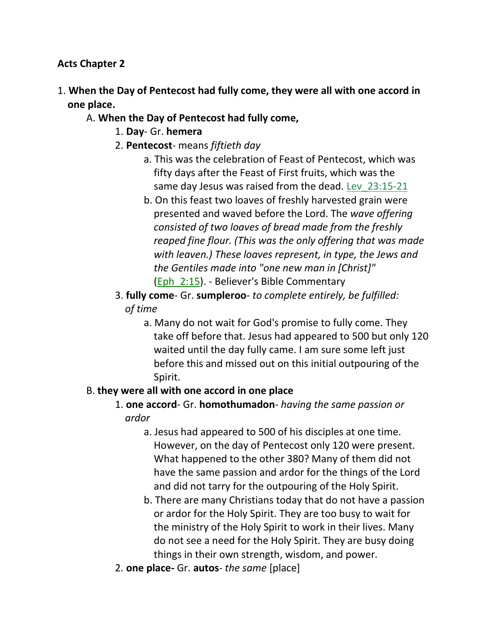#### **Acts Chapter 2**

- 1. **When the Day of Pentecost had fully come, they were all with one accord in one place.**
	- A. **When the Day of Pentecost had fully come,**
		- 1. **Day** Gr. **hemera**
		- 2. **Pentecost** means *fiftieth day*
			- a. This was the celebration of Feast of Pentecost, which was fifty days after the Feast of First fruits, which was the same day Jesus was raised from the dead. Lev\_23:15-21
			- b. On this feast two loaves of freshly harvested grain were presented and waved before the Lord. The *wave offering consisted of two loaves of bread made from the freshly reaped fine flour. (This was the only offering that was made with leaven.) These loaves represent, in type, the Jews and the Gentiles made into "one new man in [Christ]"* (Eph\_2:15). - Believer's Bible Commentary
		- 3. **fully come** Gr. **sumpleroo** *to complete entirely, be fulfilled: of time*
			- a. Many do not wait for God's promise to fully come. They take off before that. Jesus had appeared to 500 but only 120 waited until the day fully came. I am sure some left just before this and missed out on this initial outpouring of the Spirit.

#### B. **they were all with one accord in one place**

- 1. **one accord** Gr. **homothumadon** *having the same passion or* *ardor*
	- a. Jesus had appeared to 500 of his disciples at one time. However, on the day of Pentecost only 120 were present. What happened to the other 380? Many of them did not have the same passion and ardor for the things of the Lord and did not tarry for the outpouring of the Holy Spirit.
	- b. There are many Christians today that do not have a passion or ardor for the Holy Spirit. They are too busy to wait for the ministry of the Holy Spirit to work in their lives. Many do not see a need for the Holy Spirit. They are busy doing things in their own strength, wisdom, and power.
- 2. **one place-** Gr. **autos** *the same* [place]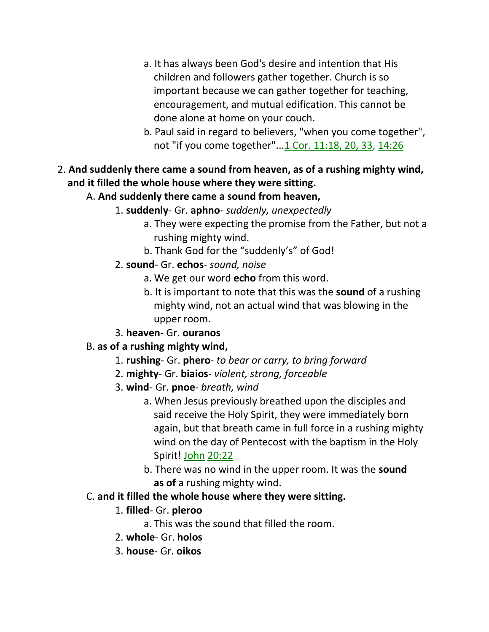- a. It has always been God's desire and intention that His children and followers gather together. Church is so important because we can gather together for teaching, encouragement, and mutual edification. This cannot be done alone at home on your couch.
- b. Paul said in regard to believers, "when you come together", not "if you come together"...1 Cor. 11:18, 20, 33, 14:26
- 2. **And suddenly there came a sound from heaven, as of a rushing mighty wind, and it filled the whole house where they were sitting.**
	- A. **And suddenly there came a sound from heaven,**
		- 1. **suddenly** Gr. **aphno** *suddenly, unexpectedly*
			- a. They were expecting the promise from the Father, but not a rushing mighty wind.
			- b. Thank God for the "suddenly's" of God!
		- 2. **sound** Gr. **echos** *sound, noise*
			- a. We get our word **echo** from this word.
			- b. It is important to note that this was the **sound** of a rushing mighty wind, not an actual wind that was blowing in the upper room.
		- 3. **heaven** Gr. **ouranos**

## B. **as of a rushing mighty wind,**

- 1. **rushing** Gr. **phero** *to bear or carry, to bring forward*
- 2. **mighty** Gr. **biaios** *violent, strong, forceable*
- 3. **wind** Gr. **pnoe** *breath, wind*
	- a. When Jesus previously breathed upon the disciples and said receive the Holy Spirit, they were immediately born again, but that breath came in full force in a rushing mighty wind on the day of Pentecost with the baptism in the Holy Spirit! John 20:22
	- b. There was no wind in the upper room. It was the **sound as of** a rushing mighty wind.

## C. **and it filled the whole house where they were sitting.**

## 1. **filled**- Gr. **pleroo**

- a. This was the sound that filled the room.
- 2. **whole** Gr. **holos**
- 3. **house** Gr. **oikos**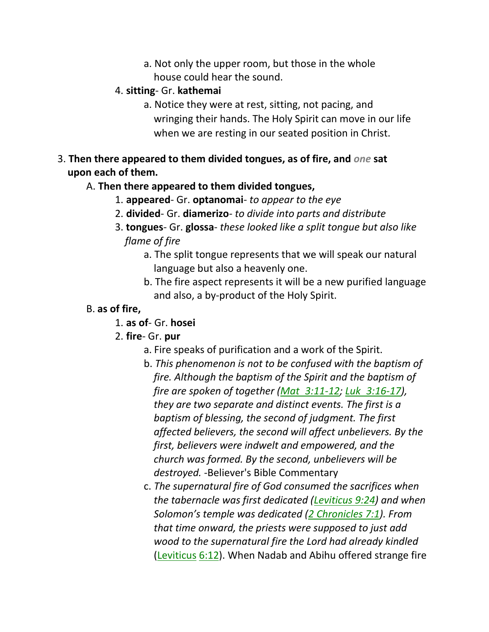a. Not only the upper room, but those in the whole house could hear the sound.

### 4. **sitting**- Gr. **kathemai**

- a. Notice they were at rest, sitting, not pacing, and wringing their hands. The Holy Spirit can move in our life when we are resting in our seated position in Christ.
- 3. **Then there appeared to them divided tongues, as of fire, and** *one* **sat upon each of them.**

## A. **Then there appeared to them divided tongues,**

- 1. **appeared** Gr. **optanomai** *to appear to the eye*
- 2. **divided** Gr. **diamerizo** *to divide into parts and distribute*
- 3. **tongues** Gr. **glossa** *these looked like a split tongue but also like flame of fire*
	- a. The split tongue represents that we will speak our natural language but also a heavenly one.
	- b. The fire aspect represents it will be a new purified language and also, a by-product of the Holy Spirit.

### B. **as of fire,**

- 1. **as of** Gr. **hosei**
- 2. **fire** Gr. **pur**
	- a. Fire speaks of purification and a work of the Spirit.
	- b. *This phenomenon is not to be confused with the baptism of fire. Although the baptism of the Spirit and the baptism of fire are spoken of together (Mat\_3:11-12; Luk\_3:16-17), they are two separate and distinct events. The first is a baptism of blessing, the second of judgment. The first affected believers, the second will affect unbelievers. By the first, believers were indwelt and empowered, and the church was formed. By the second, unbelievers will be destroyed.* -Believer's Bible Commentary
	- c. *The supernatural fire of God consumed the sacrifices when the tabernacle was first dedicated (Leviticus 9:24) and when Solomon's temple was dedicated (2 Chronicles 7:1). From that time onward, the priests were supposed to just add wood to the supernatural fire the Lord had already kindled* (Leviticus 6:12). When Nadab and Abihu offered strange fire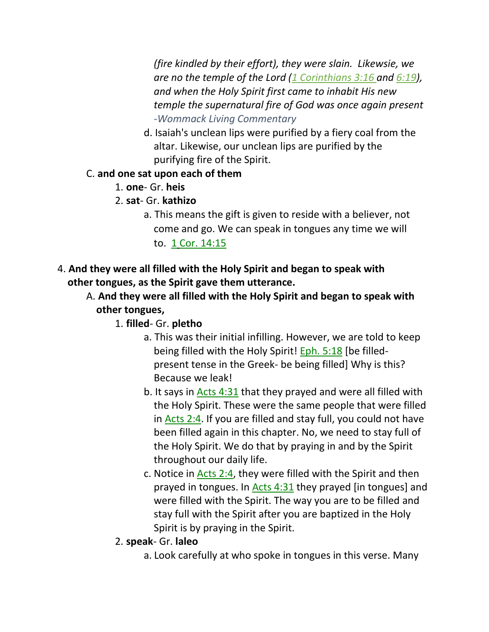*(fire kindled by their effort), they were slain. Likewsie, we are no the temple of the Lord (1 Corinthians 3:16 and 6:19), and when the Holy Spirit first came to inhabit His new temple the supernatural fire of God was once again present -Wommack Living Commentary*

d. Isaiah's unclean lips were purified by a fiery coal from the altar. Likewise, our unclean lips are purified by the purifying fire of the Spirit.

## C. **and one sat upon each of them**

- 1. **one** Gr. **heis**
- 2. **sat** Gr. **kathizo**
	- a. This means the gift is given to reside with a believer, not come and go. We can speak in tongues any time we will to. 1 Cor. 14:15
- 4. **And they were all filled with the Holy Spirit and began to speak with other tongues, as the Spirit gave them utterance.**
	- A. **And they were all filled with the Holy Spirit and began to speak with other tongues,**
		- 1. **filled** Gr. **pletho**
			- a. This was their initial infilling. However, we are told to keep being filled with the Holy Spirit! Eph. 5:18 [be filled present tense in the Greek- be being filled] Why is this? Because we leak!
			- b. It says in Acts 4:31 that they prayed and were all filled with the Holy Spirit. These were the same people that were filled in Acts 2:4. If you are filled and stay full, you could not have been filled again in this chapter. No, we need to stay full of the Holy Spirit. We do that by praying in and by the Spirit throughout our daily life.
			- c. Notice in Acts 2:4, they were filled with the Spirit and then prayed in tongues. In Acts 4:31 they prayed [in tongues] and were filled with the Spirit. The way you are to be filled and stay full with the Spirit after you are baptized in the Holy Spirit is by praying in the Spirit.
		- 2. **speak** Gr. **laleo**
			- a. Look carefully at who spoke in tongues in this verse. Many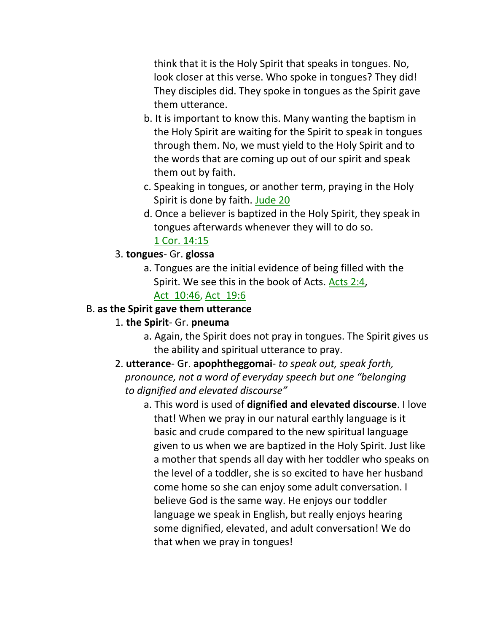think that it is the Holy Spirit that speaks in tongues. No, look closer at this verse. Who spoke in tongues? They did! They disciples did. They spoke in tongues as the Spirit gave them utterance.

- b. It is important to know this. Many wanting the baptism in the Holy Spirit are waiting for the Spirit to speak in tongues through them. No, we must yield to the Holy Spirit and to the words that are coming up out of our spirit and speak them out by faith.
- c. Speaking in tongues, or another term, praying in the Holy Spirit is done by faith. Jude 20
- d. Once a believer is baptized in the Holy Spirit, they speak in tongues afterwards whenever they will to do so. 1 Cor. 14:15

## 3. **tongues**- Gr. **glossa**

a. Tongues are the initial evidence of being filled with the Spirit. We see this in the book of Acts. Acts 2:4,

## Act\_10:46, Act\_19:6

### B. **as the Spirit gave them utterance**

## 1. **the Spirit**- Gr. **pneuma**

- a. Again, the Spirit does not pray in tongues. The Spirit gives us the ability and spiritual utterance to pray.
- 2. **utterance** Gr. **apophtheggomai** *to speak out, speak forth,* *pronounce, not a word of everyday speech but one "belonging to dignified and elevated discourse"*
	- a. This word is used of **dignified and elevated discourse**. I love that! When we pray in our natural earthly language is it basic and crude compared to the new spiritual language given to us when we are baptized in the Holy Spirit. Just like a mother that spends all day with her toddler who speaks on the level of a toddler, she is so excited to have her husband come home so she can enjoy some adult conversation. I believe God is the same way. He enjoys our toddler language we speak in English, but really enjoys hearing some dignified, elevated, and adult conversation! We do that when we pray in tongues!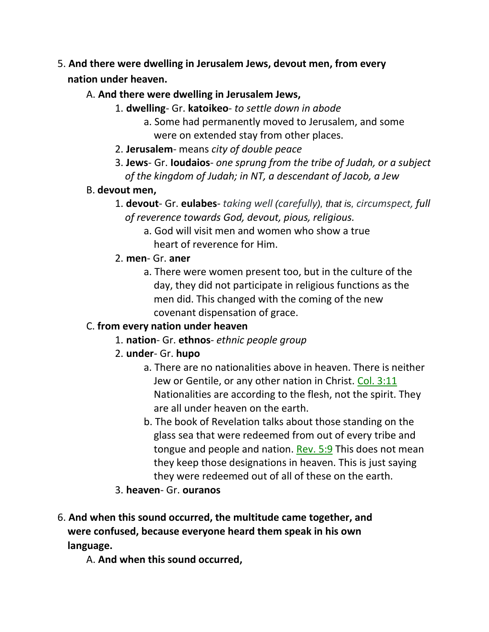- 5. **And there were dwelling in Jerusalem Jews, devout men, from every nation under heaven.**
	- A. **And there were dwelling in Jerusalem Jews,**
		- 1. **dwelling** Gr. **katoikeo** *to settle down in abode*
			- a. Some had permanently moved to Jerusalem, and some were on extended stay from other places.
		- 2. **Jerusalem** means *city of double peace*
		- 3. **Jews** Gr. **Ioudaios** *one sprung from the tribe of Judah, or a subject of the kingdom of Judah; in NT, a descendant of Jacob, a Jew*
	- B. **devout men,**
		- 1. **devout** Gr. **eulabes** *taking well (carefully), that is, circumspect, full of reverence towards God, devout, pious, religious.*
			- a. God will visit men and women who show a true heart of reverence for Him.
		- 2. **men** Gr. **aner**
			- a. There were women present too, but in the culture of the day, they did not participate in religious functions as the men did. This changed with the coming of the new covenant dispensation of grace.

## C. **from every nation under heaven**

- 1. **nation** Gr. **ethnos** *ethnic people group*
- 2. **under** Gr. **hupo**
	- a. There are no nationalities above in heaven. There is neither Jew or Gentile, or any other nation in Christ. Col. 3:11 Nationalities are according to the flesh, not the spirit. They are all under heaven on the earth.
	- b. The book of Revelation talks about those standing on the glass sea that were redeemed from out of every tribe and tongue and people and nation. Rev. 5:9 This does not mean they keep those designations in heaven. This is just saying they were redeemed out of all of these on the earth.
- 3. **heaven** Gr. **ouranos**
- 6. **And when this sound occurred, the multitude came together, and were confused, because everyone heard them speak in his own language.**

A. **And when this sound occurred,**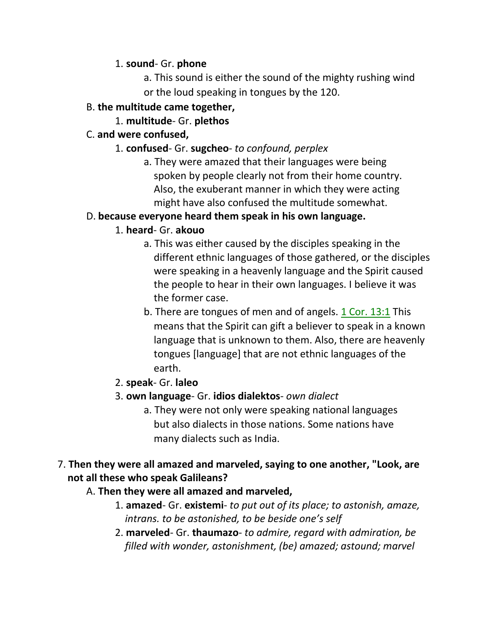#### 1. **sound**- Gr. **phone**

a. This sound is either the sound of the mighty rushing wind or the loud speaking in tongues by the 120.

## B. **the multitude came together,**

## 1. **multitude**- Gr. **plethos**

## C. **and were confused,**

- 1. **confused** Gr. **sugcheo** *to confound, perplex*
	- a. They were amazed that their languages were being spoken by people clearly not from their home country. Also, the exuberant manner in which they were acting might have also confused the multitude somewhat.

## D. **because everyone heard them speak in his own language.**

## 1. **heard**- Gr. **akouo**

- a. This was either caused by the disciples speaking in the different ethnic languages of those gathered, or the disciples were speaking in a heavenly language and the Spirit caused the people to hear in their own languages. I believe it was the former case.
- b. There are tongues of men and of angels. 1 Cor. 13:1 This means that the Spirit can gift a believer to speak in a known language that is unknown to them. Also, there are heavenly tongues [language] that are not ethnic languages of the earth.

## 2. **speak**- Gr. **laleo**

- 3. **own language** Gr. **idios dialektos** *own dialect*
	- a. They were not only were speaking national languages but also dialects in those nations. Some nations have many dialects such as India.

## 7. **Then they were all amazed and marveled, saying to one another, "Look, are not all these who speak Galileans?**

## A. **Then they were all amazed and marveled,**

- 1. **amazed** Gr. **existemi** *to put out of its place; to astonish, amaze,* *intrans. to be astonished, to be beside one's self*
- 2. **marveled** Gr. **thaumazo** *to admire, regard with admiration, be filled with wonder, astonishment, (be) amazed; astound; marvel*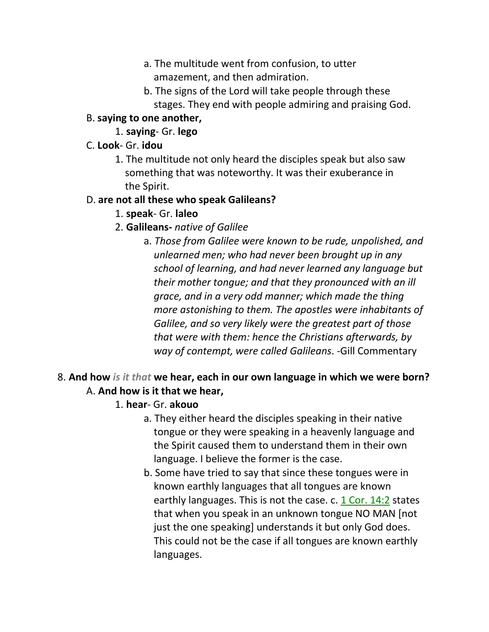- a. The multitude went from confusion, to utter amazement, and then admiration.
- b. The signs of the Lord will take people through these stages. They end with people admiring and praising God.

### B. **saying to one another,**

1. **saying**- Gr. **lego**

### C. **Look**- Gr. **idou**

1. The multitude not only heard the disciples speak but also saw something that was noteworthy. It was their exuberance in the Spirit.

### D. **are not all these who speak Galileans?**

### 1. **speak**- Gr. **laleo**

## 2. **Galileans-** *native of Galilee*

a. *Those from Galilee were known to be rude, unpolished, and unlearned men; who had never been brought up in any school of learning, and had never learned any language but their mother tongue; and that they pronounced with an ill grace, and in a very odd manner; which made the thing more astonishing to them. The apostles were inhabitants of Galilee, and so very likely were the greatest part of those that were with them: hence the Christians afterwards, by way of contempt, were called Galileans*. -Gill Commentary

## 8. **And how** *is it that* **we hear, each in our own language in which we were born?** A. **And how is it that we hear,**

- 1. **hear** Gr. **akouo**
	- a. They either heard the disciples speaking in their native tongue or they were speaking in a heavenly language and the Spirit caused them to understand them in their own language. I believe the former is the case.
	- b. Some have tried to say that since these tongues were in known earthly languages that all tongues are known earthly languages. This is not the case. c. 1 Cor. 14:2 states that when you speak in an unknown tongue NO MAN [not just the one speaking] understands it but only God does. This could not be the case if all tongues are known earthly languages.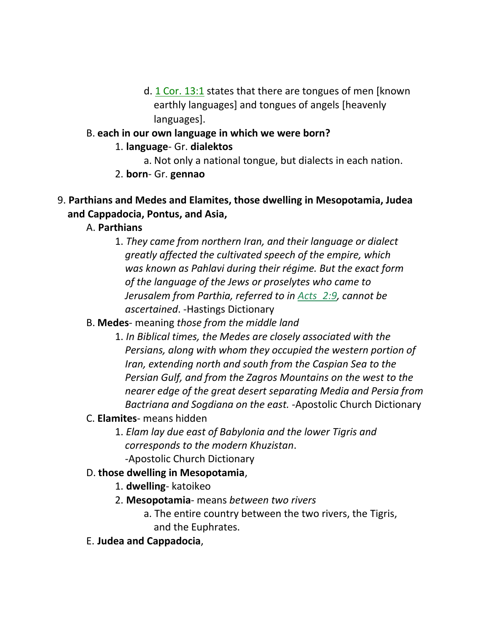d. 1 Cor. 13:1 states that there are tongues of men [known earthly languages] and tongues of angels [heavenly languages].

### B. **each in our own language in which we were born?**

- 1. **language** Gr. **dialektos**
	- a. Not only a national tongue, but dialects in each nation.
- 2. **born** Gr. **gennao**

## 9. **Parthians and Medes and Elamites, those dwelling in Mesopotamia, Judea and Cappadocia, Pontus, and Asia,**

- A. **Parthians**
	- 1. *They came from northern Iran, and their language or dialect greatly affected the cultivated speech of the empire, which was known as Pahlavi during their régime. But the exact form of the language of the Jews or proselytes who came to Jerusalem from Parthia, referred to in Acts\_2:9, cannot be ascertained*. -Hastings Dictionary

## B. **Medes**- meaning *those from the middle land*

- 1. *In Biblical times, the Medes are closely associated with the Persians, along with whom they occupied the western portion of Iran, extending north and south from the Caspian Sea to the Persian Gulf, and from the Zagros Mountains on the west to the nearer edge of the great desert separating Media and Persia from Bactriana and Sogdiana on the east.* -Apostolic Church Dictionary
- C. **Elamites** means hidden
	- 1. *Elam lay due east of Babylonia and the lower Tigris and corresponds to the modern Khuzistan*. -Apostolic Church Dictionary

## D. **those dwelling in Mesopotamia**,

- 1. **dwelling** katoikeo
- 2. **Mesopotamia** means *between two rivers*
	- a. The entire country between the two rivers, the Tigris, and the Euphrates.
- E. **Judea and Cappadocia**,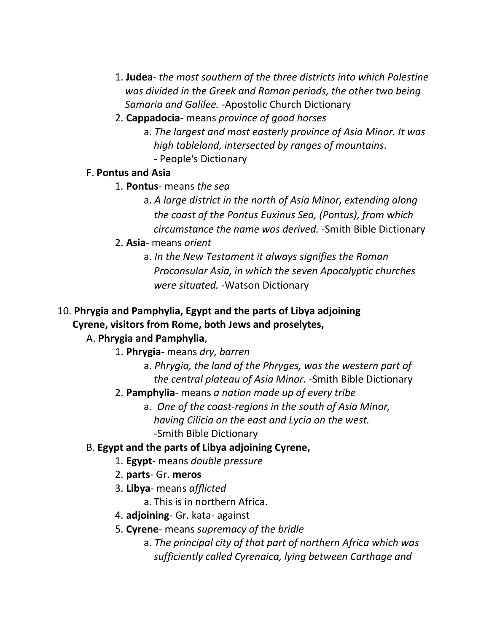- 1. **Judea** *the most southern of the three districts into which Palestine* *was divided in the Greek and Roman periods, the other two being Samaria and Galilee. -*Apostolic Church Dictionary
- 2. **Cappadocia** means *province of good horses*
	- a. *The largest and most easterly province of Asia Minor. It was high tableland, intersected by ranges of mountains*. - People's Dictionary

#### F. **Pontus and Asia**

- 1. **Pontus** means *the sea*
	- a. *A large district in the north of Asia Minor, extending along the coast of the Pontus Euxinus Sea, (Pontus), from which circumstance the name was derived.* -Smith Bible Dictionary
- 2. **Asia** means *orient*
	- a. *In the New Testament it always signifies the Roman Proconsular Asia, in which the seven Apocalyptic churches were situated.* -Watson Dictionary

## 10. **Phrygia and Pamphylia, Egypt and the parts of Libya adjoining Cyrene, visitors from Rome, both Jews and proselytes,**

## A. **Phrygia and Pamphylia**,

- 1. **Phrygia** means *dry, barren*
	- a. *Phrygia, the land of the Phryges, was the western part of the central plateau of Asia Minor*. -Smith Bible Dictionary
- 2. **Pamphylia** means *a nation made up of every tribe*
	- a. *One of the coast-regions in the south of Asia Minor,* 
		- *having Cilicia on the east and Lycia on the west.*
		- -Smith Bible Dictionary

## B. **Egypt and the parts of Libya adjoining Cyrene,**

- 1. **Egypt** means *double pressure*
- 2. **parts** Gr. **meros**
- 3. **Libya** means *afflicted*
	- a. This is in northern Africa.
- 4. **adjoining** Gr. kata- against
- 5. **Cyrene** means *supremacy of the bridle*
	- a. *The principal city of that part of northern Africa which was sufficiently called Cyrenaica, lying between Carthage and*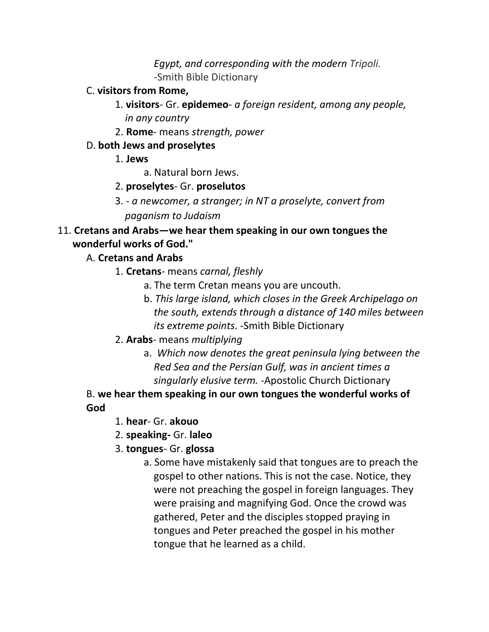*Egypt, and corresponding with the modern Tripoli. -*Smith Bible Dictionary

#### C. **visitors from Rome,**

- 1. **visitors** Gr. **epidemeo** *a foreign resident, among any people, in any country*
- 2. **Rome** means *strength, power*

## D. **both Jews and proselytes**

- 1. **Jews**
	- a. Natural born Jews.
- 2. **proselytes** Gr. **proselutos**
- 3. *a newcomer, a stranger; in NT a proselyte, convert from paganism to Judaism*

## 11. **Cretans and Arabs—we hear them speaking in our own tongues the wonderful works of God."**

## A. **Cretans and Arabs**

- 1. **Cretans** means *carnal, fleshly*
	- a. The term Cretan means you are uncouth.
	- b. *This large island, which closes in the Greek Archipelago on the south, extends through a distance of 140 miles between its extreme points*. -Smith Bible Dictionary
- 2. **Arabs** means *multiplying*
	- a. *Which now denotes the great peninsula lying between the Red Sea and the Persian Gulf, was in ancient times a singularly elusive term. -*Apostolic Church Dictionary

B. **we hear them speaking in our own tongues the wonderful works of God**

- 1. **hear** Gr. **akouo**
- 2. **speaking-** Gr. **laleo**
- 3. **tongues** Gr. **glossa**
	- a. Some have mistakenly said that tongues are to preach the gospel to other nations. This is not the case. Notice, they were not preaching the gospel in foreign languages. They were praising and magnifying God. Once the crowd was gathered, Peter and the disciples stopped praying in tongues and Peter preached the gospel in his mother tongue that he learned as a child.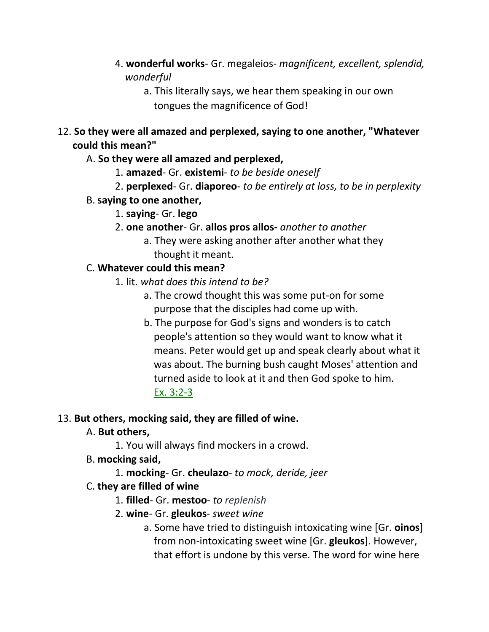- 4. **wonderful works** Gr. megaleios- *magnificent, excellent, splendid, wonderful*
	- a. This literally says, we hear them speaking in our own tongues the magnificence of God!
- 12. **So they were all amazed and perplexed, saying to one another, "Whatever could this mean?"**
	- A. **So they were all amazed and perplexed,**
		- 1. **amazed** Gr. **existemi** *to be beside oneself*
		- 2. **perplexed** Gr. **diaporeo** *to be entirely at loss, to be in perplexity*
	- B.**saying to one another,**
		- 1. **saying** Gr. **lego**
		- 2. **one another** Gr. **allos pros allos-** *another to another*
			- a. They were asking another after another what they thought it meant.

## C. **Whatever could this mean?**

- 1. lit. *what does this intend to be?*
	- a. The crowd thought this was some put-on for some purpose that the disciples had come up with.
	- b. The purpose for God's signs and wonders is to catch people's attention so they would want to know what it means. Peter would get up and speak clearly about what it was about. The burning bush caught Moses' attention and turned aside to look at it and then God spoke to him. Ex. 3:2-3

## 13. **But others, mocking said, they are filled of wine.**

## A. **But others,**

- 1. You will always find mockers in a crowd.
- B. **mocking said,**
	- 1. **mocking** Gr. **cheulazo** *to mock, deride, jeer*

## C. **they are filled of wine**

- 1. **filled** Gr. **mestoo** *to replenish*
- 2. **wine** Gr. **gleukos** *sweet wine*
	- a. Some have tried to distinguish intoxicating wine [Gr. **oinos**] from non-intoxicating sweet wine [Gr. **gleukos**]. However, that effort is undone by this verse. The word for wine here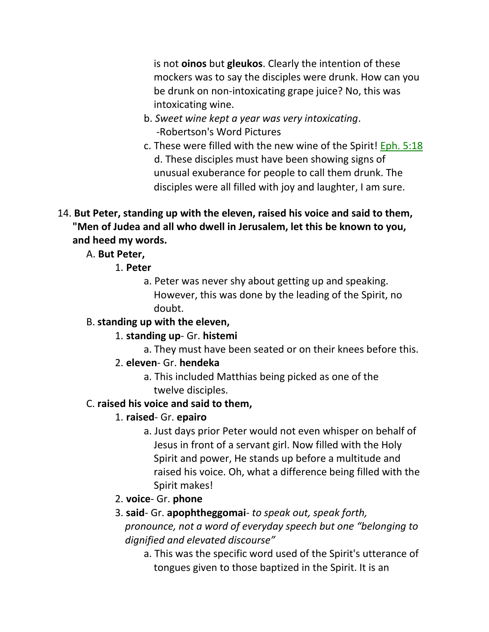is not **oinos** but **gleukos**. Clearly the intention of these mockers was to say the disciples were drunk. How can you be drunk on non-intoxicating grape juice? No, this was intoxicating wine.

- b. *Sweet wine kept a year was very intoxicating*. -Robertson's Word Pictures
- c. These were filled with the new wine of the Spirit! Eph. 5:18 d. These disciples must have been showing signs of unusual exuberance for people to call them drunk. The disciples were all filled with joy and laughter, I am sure.
- 14. **But Peter, standing up with the eleven, raised his voice and said to them, "Men of Judea and all who dwell in Jerusalem, let this be known to you, and heed my words.**

A. **But Peter,**

- 1. **Peter**
	- a. Peter was never shy about getting up and speaking. However, this was done by the leading of the Spirit, no doubt.

# B. **standing up with the eleven,**

- 1. **standing up** Gr. **histemi**
	- a. They must have been seated or on their knees before this.

# 2. **eleven**- Gr. **hendeka**

a. This included Matthias being picked as one of the twelve disciples.

# C. **raised his voice and said to them,**

# 1. **raised**- Gr. **epairo**

a. Just days prior Peter would not even whisper on behalf of Jesus in front of a servant girl. Now filled with the Holy Spirit and power, He stands up before a multitude and raised his voice. Oh, what a difference being filled with the Spirit makes!

# 2. **voice**- Gr. **phone**

- 3. **said** Gr. **apophtheggomai** *to speak out, speak forth, pronounce, not a word of everyday speech but one "belonging to dignified and elevated discourse"*
	- a. This was the specific word used of the Spirit's utterance of tongues given to those baptized in the Spirit. It is an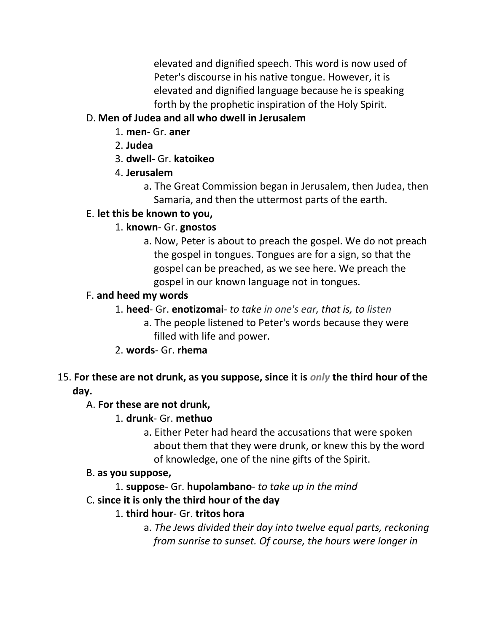elevated and dignified speech. This word is now used of Peter's discourse in his native tongue. However, it is elevated and dignified language because he is speaking forth by the prophetic inspiration of the Holy Spirit.

## D. **Men of Judea and all who dwell in Jerusalem**

- 1. **men** Gr. **aner**
- 2. **Judea**
- 3. **dwell** Gr. **katoikeo**
- 4. **Jerusalem**
	- a. The Great Commission began in Jerusalem, then Judea, then Samaria, and then the uttermost parts of the earth.

## E. **let this be known to you,**

## 1. **known**- Gr. **gnostos**

a. Now, Peter is about to preach the gospel. We do not preach the gospel in tongues. Tongues are for a sign, so that the gospel can be preached, as we see here. We preach the gospel in our known language not in tongues.

## F. **and heed my words**

- 1. **heed** Gr. **enotizomai** *to take in one's ear, that is, to listen*
	- a. The people listened to Peter's words because they were filled with life and power.
- 2. **words** Gr. **rhema**

## 15. **For these are not drunk, as you suppose, since it is** *only* **the third hour of the day.**

## A. **For these are not drunk,**

## 1. **drunk**- Gr. **methuo**

a. Either Peter had heard the accusations that were spoken about them that they were drunk, or knew this by the word of knowledge, one of the nine gifts of the Spirit.

## B. **as you suppose,**

1. **suppose**- Gr. **hupolambano**- *to take up in the mind*

## C. **since it is only the third hour of the day**

## 1. **third hour**- Gr. **tritos hora**

a. *The Jews divided their day into twelve equal parts, reckoning from sunrise to sunset. Of course, the hours were longer in*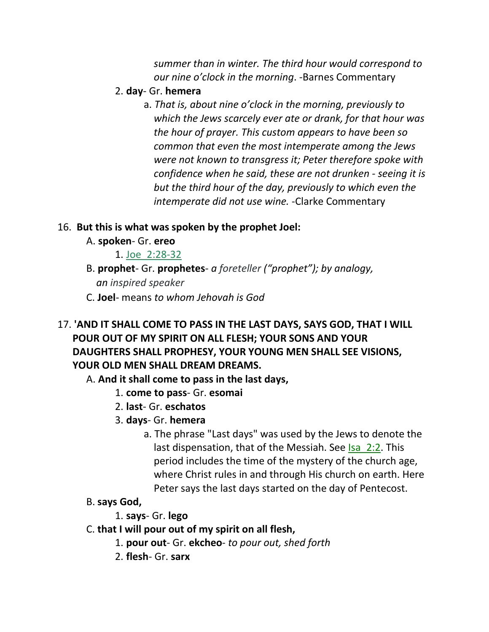*summer than in winter. The third hour would correspond to our nine o'clock in the morning*. -Barnes Commentary

- 2. **day** Gr. **hemera**
	- a. *That is, about nine o'clock in the morning, previously to which the Jews scarcely ever ate or drank, for that hour was the hour of prayer. This custom appears to have been so common that even the most intemperate among the Jews were not known to transgress it; Peter therefore spoke with confidence when he said, these are not drunken - seeing it is but the third hour of the day, previously to which even the intemperate did not use wine.* -Clarke Commentary

## 16. **But this is what was spoken by the prophet Joel:**

- A. **spoken** Gr. **ereo**
	- 1. Joe\_2:28-32
- B. **prophet** Gr. **prophetes** *a foreteller ("prophet"); by analogy, an inspired speaker*
- C. **Joel** means *to whom Jehovah is God*
- 17. **'AND IT SHALL COME TO PASS IN THE LAST DAYS, SAYS GOD, THAT I WILL POUR OUT OF MY SPIRIT ON ALL FLESH; YOUR SONS AND YOUR DAUGHTERS SHALL PROPHESY, YOUR YOUNG MEN SHALL SEE VISIONS, YOUR OLD MEN SHALL DREAM DREAMS.**

A. **And it shall come to pass in the last days,**

- 1. **come to pass** Gr. **esomai**
- 2. **last** Gr. **eschatos**
- 3. **days** Gr. **hemera**
	- a. The phrase "Last days" was used by the Jews to denote the last dispensation, that of the Messiah. See Isa\_2:2. This period includes the time of the mystery of the church age, where Christ rules in and through His church on earth. Here Peter says the last days started on the day of Pentecost.
- B. **says God,**
	- 1. **says** Gr. **lego**
- C. **that I will pour out of my spirit on all flesh,**
	- 1. **pour out** Gr. **ekcheo** *to pour out, shed forth*
	- 2. **flesh** Gr. **sarx**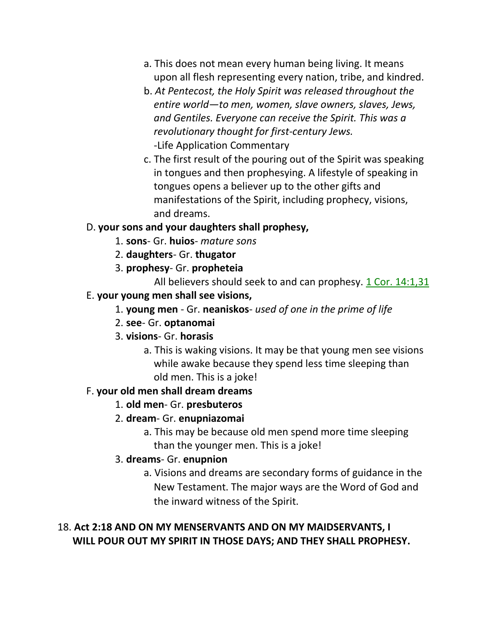- a. This does not mean every human being living. It means upon all flesh representing every nation, tribe, and kindred.
- b. *At Pentecost, the Holy Spirit was released throughout the entire world—to men, women, slave owners, slaves, Jews, and Gentiles. Everyone can receive the Spirit. This was a revolutionary thought for first-century Jews.* -Life Application Commentary
- c. The first result of the pouring out of the Spirit was speaking in tongues and then prophesying. A lifestyle of speaking in tongues opens a believer up to the other gifts and manifestations of the Spirit, including prophecy, visions, and dreams.

### D. **your sons and your daughters shall prophesy,**

- 1. **sons** Gr. **huios** *mature sons*
- 2. **daughters** Gr. **thugator**
- 3. **prophesy** Gr. **propheteia**

All believers should seek to and can prophesy. 1 Cor. 14:1,31

### E. **your young men shall see visions,**

- 1. **young men**  Gr. **neaniskos** *used of one in the prime of life*
- 2. **see** Gr. **optanomai**
- 3. **visions** Gr. **horasis**
	- a. This is waking visions. It may be that young men see visions while awake because they spend less time sleeping than old men. This is a joke!

## F. **your old men shall dream dreams**

#### 1. **old men**- Gr. **presbuteros**

## 2. **dream**- Gr. **enupniazomai**

a. This may be because old men spend more time sleeping than the younger men. This is a joke!

#### 3. **dreams**- Gr. **enupnion**

a. Visions and dreams are secondary forms of guidance in the New Testament. The major ways are the Word of God and the inward witness of the Spirit.

## 18. **Act 2:18 AND ON MY MENSERVANTS AND ON MY MAIDSERVANTS, I WILL POUR OUT MY SPIRIT IN THOSE DAYS; AND THEY SHALL PROPHESY.**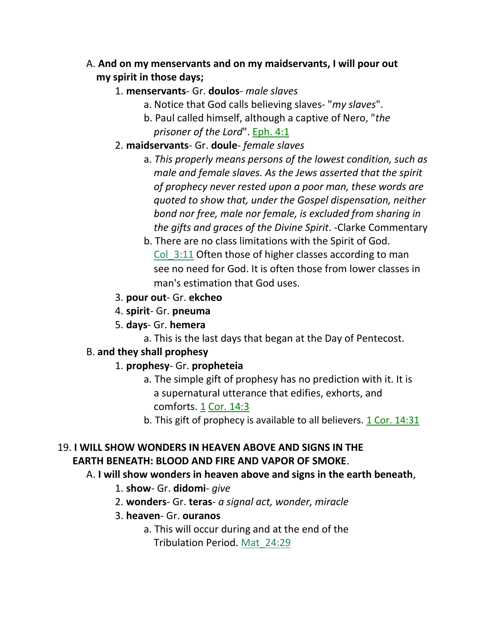## A. **And on my menservants and on my maidservants, I will pour out my spirit in those days;**

## 1. **menservants**- Gr. **doulos**- *male slaves*

- a. Notice that God calls believing slaves- "*my slaves*".
- b. Paul called himself, although a captive of Nero, "*the prisoner of the Lord*". Eph. 4:1
- 2. **maidservants** Gr. **doule** *female slaves*
	- a. *This properly means persons of the lowest condition, such as male and female slaves. As the Jews asserted that the spirit of prophecy never rested upon a poor man, these words are quoted to show that, under the Gospel dispensation, neither bond nor free, male nor female, is excluded from sharing in the gifts and graces of the Divine Spirit*. -Clarke Commentary
	- b. There are no class limitations with the Spirit of God. Col 3:11 Often those of higher classes according to man see no need for God. It is often those from lower classes in man's estimation that God uses.
- 3. **pour out** Gr. **ekcheo**
- 4. **spirit** Gr. **pneuma**
- 5. **days** Gr. **hemera**
	- a. This is the last days that began at the Day of Pentecost.

## B. **and they shall prophesy**

- 1. **prophesy** Gr. **propheteia**
	- a. The simple gift of prophesy has no prediction with it. It is a supernatural utterance that edifies, exhorts, and comforts. 1 Cor. 14:3
	- b. This gift of prophecy is available to all believers.  $1 \text{Cor. } 14:31$

## 19. **I WILL SHOW WONDERS IN HEAVEN ABOVE AND SIGNS IN THE EARTH BENEATH: BLOOD AND FIRE AND VAPOR OF SMOKE**.

## A. **I will show wonders in heaven above and signs in the earth beneath**,

- 1. **show** Gr. **didomi** *give*
- 2. **wonders** Gr. **teras** *a signal act, wonder, miracle*
- 3. **heaven** Gr. **ouranos**
	- a. This will occur during and at the end of the Tribulation Period. Mat\_24:29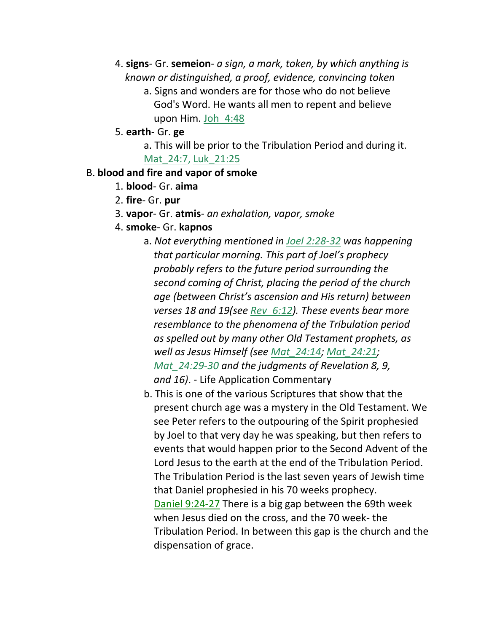- 4. **signs** Gr. **semeion** *a sign, a mark, token, by which anything is* *known or distinguished, a proof, evidence, convincing token*
	- a. Signs and wonders are for those who do not believe God's Word. He wants all men to repent and believe upon Him. Joh\_4:48
- 5. **earth** Gr. **ge**
	- a. This will be prior to the Tribulation Period and during it. Mat 24:7, Luk 21:25

#### B. **blood and fire and vapor of smoke**

- 1. **blood** Gr. **aima**
- 2. **fire** Gr. **pur**
- 3. **vapor** Gr. **atmis** *an exhalation, vapor, smoke*
- 4. **smoke** Gr. **kapnos**
	- a. *Not everything mentioned in Joel 2:28-32 was happening that particular morning. This part of Joel's prophecy probably refers to the future period surrounding the second coming of Christ, placing the period of the church age (between Christ's ascension and His return) between verses 18 and 19(see Rev\_6:12). These events bear more resemblance to the phenomena of the Tribulation period as spelled out by many other Old Testament prophets, as well as Jesus Himself (see Mat\_24:14; Mat\_24:21; Mat\_24:29-30 and the judgments of Revelation 8, 9, and 16)*. - Life Application Commentary
	- b. This is one of the various Scriptures that show that the present church age was a mystery in the Old Testament. We see Peter refers to the outpouring of the Spirit prophesied by Joel to that very day he was speaking, but then refers to events that would happen prior to the Second Advent of the Lord Jesus to the earth at the end of the Tribulation Period. The Tribulation Period is the last seven years of Jewish time that Daniel prophesied in his 70 weeks prophecy. Daniel 9:24-27 There is a big gap between the 69th week when Jesus died on the cross, and the 70 week- the Tribulation Period. In between this gap is the church and the dispensation of grace.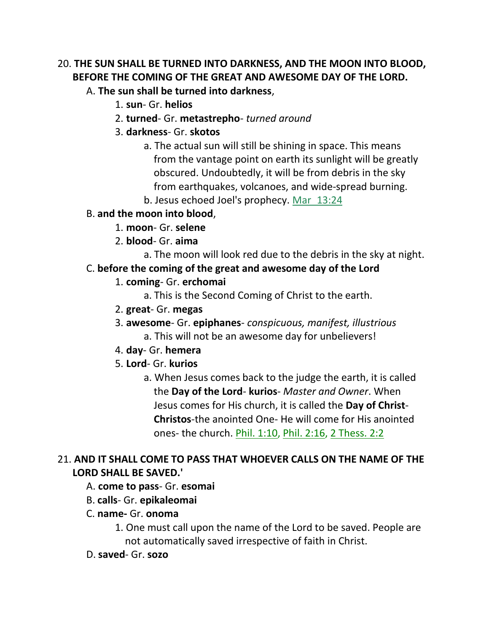## 20. **THE SUN SHALL BE TURNED INTO DARKNESS, AND THE MOON INTO BLOOD, BEFORE THE COMING OF THE GREAT AND AWESOME DAY OF THE LORD.**

- A. **The sun shall be turned into darkness**,
	- 1. **sun** Gr. **helios**
	- 2. **turned** Gr. **metastrepho** *turned around*
	- 3. **darkness** Gr. **skotos**
		- a. The actual sun will still be shining in space. This means from the vantage point on earth its sunlight will be greatly obscured. Undoubtedly, it will be from debris in the sky from earthquakes, volcanoes, and wide-spread burning.
		- b. Jesus echoed Joel's prophecy. Mar\_13:24
- B. **and the moon into blood**,
	- 1. **moon** Gr. **selene**
	- 2. **blood** Gr. **aima**
		- a. The moon will look red due to the debris in the sky at night.

## C. **before the coming of the great and awesome day of the Lord**

- 1. **coming** Gr. **erchomai**
	- a. This is the Second Coming of Christ to the earth.
- 2. **great** Gr. **megas**
- 3. **awesome** Gr. **epiphanes** *conspicuous, manifest, illustrious*
	- a. This will not be an awesome day for unbelievers!
- 4. **day** Gr. **hemera**
- 5. **Lord** Gr. **kurios**
	- a. When Jesus comes back to the judge the earth, it is called the **Day of the Lord**- **kurios**- *Master and Owner*. When Jesus comes for His church, it is called the **Day of Christ**-  **Christos**-the anointed One- He will come for His anointed ones- the church. Phil. 1:10, Phil. 2:16, 2 Thess. 2:2

## 21. **AND IT SHALL COME TO PASS THAT WHOEVER CALLS ON THE NAME OF THE LORD SHALL BE SAVED.'**

- A. **come to pass** Gr. **esomai**
- B. **calls** Gr. **epikaleomai**
- C. **name-** Gr. **onoma**
	- 1. One must call upon the name of the Lord to be saved. People are not automatically saved irrespective of faith in Christ.
- D. **saved** Gr. **sozo**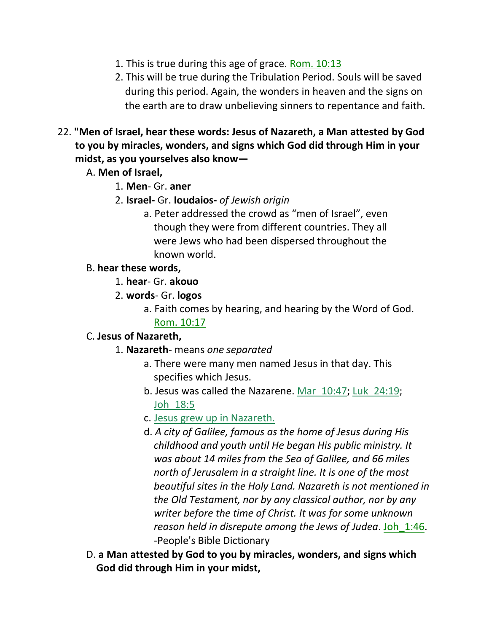- 1. This is true during this age of grace. Rom. 10:13
- 2. This will be true during the Tribulation Period. Souls will be saved during this period. Again, the wonders in heaven and the signs on the earth are to draw unbelieving sinners to repentance and faith.
- 22. **"Men of Israel, hear these words: Jesus of Nazareth, a Man attested by God to you by miracles, wonders, and signs which God did through Him in your midst, as you yourselves also know—**
	- A. **Men of Israel,**
		- 1. **Men** Gr. **aner**
		- 2. **Israel-** Gr. **Ioudaios-** *of Jewish origin*
			- a. Peter addressed the crowd as "men of Israel", even though they were from different countries. They all were Jews who had been dispersed throughout the known world.

### B. **hear these words,**

- 1. **hear** Gr. **akouo**
- 2. **words** Gr. **logos**
	- a. Faith comes by hearing, and hearing by the Word of God. Rom. 10:17

## C. **Jesus of Nazareth,**

- 1. **Nazareth** means *one separated*
	- a. There were many men named Jesus in that day. This specifies which Jesus.
	- b. Jesus was called the Nazarene. Mar\_10:47; Luk\_24:19; Joh\_18:5
	- c. Jesus grew up in Nazareth.
	- d. *A city of Galilee, famous as the home of Jesus during His childhood and youth until He began His public ministry. It was about 14 miles from the Sea of Galilee, and 66 miles north of Jerusalem in a straight line. It is one of the most beautiful sites in the Holy Land. Nazareth is not mentioned in the Old Testament, nor by any classical author, nor by any writer before the time of Christ. It was for some unknown reason held in disrepute among the Jews of Judea*. Joh\_1:46. -People's Bible Dictionary
- D. **a Man attested by God to you by miracles, wonders, and signs which God did through Him in your midst,**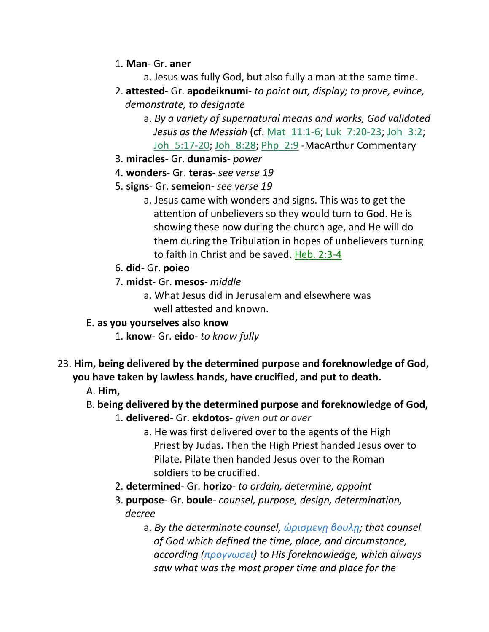- 1. **Man** Gr. **aner**
	- a. Jesus was fully God, but also fully a man at the same time.
- 2. **attested** Gr. **apodeiknumi** *to point out, display; to prove, evince, demonstrate, to designate*
	- a. *By a variety of supernatural means and works, God validated Jesus as the Messiah* (cf. Mat\_11:1-6; Luk\_7:20-23; Joh\_3:2; Joh 5:17-20; Joh 8:28; Php 2:9 -MacArthur Commentary
- 3. **miracles** Gr. **dunamis** *power*
- 4. **wonders** Gr. **teras-** *see verse 19*
- 5. **signs** Gr. **semeion-** *see verse 19*
	- a. Jesus came with wonders and signs. This was to get the attention of unbelievers so they would turn to God. He is showing these now during the church age, and He will do them during the Tribulation in hopes of unbelievers turning to faith in Christ and be saved. Heb. 2:3-4
- 6. **did** Gr. **poieo**
- 7. **midst** Gr. **mesos** *middle*
	- a. What Jesus did in Jerusalem and elsewhere was well attested and known.
- E. **as you yourselves also know**
	- 1. **know** Gr. **eido** *to know fully*
- 23. **Him, being delivered by the determined purpose and foreknowledge of God, you have taken by lawless hands, have crucified, and put to death.**
	- A. **Him,**
	- B. **being delivered by the determined purpose and foreknowledge of God,**
		- 1. **delivered** Gr. **ekdotos** *given out or over*
			- a. He was first delivered over to the agents of the High Priest by Judas. Then the High Priest handed Jesus over to Pilate. Pilate then handed Jesus over to the Roman soldiers to be crucified.
		- 2. **determined** Gr. **horizo** *to ordain, determine, appoint*
		- 3. **purpose** Gr. **boule** *counsel, purpose, design, determination, decree*
			- a. *By the determinate counsel, ὡρισμενῃ βουλῃ; that counsel of God which defined the time, place, and circumstance, according (προγνωσει) to His foreknowledge, which always saw what was the most proper time and place for the*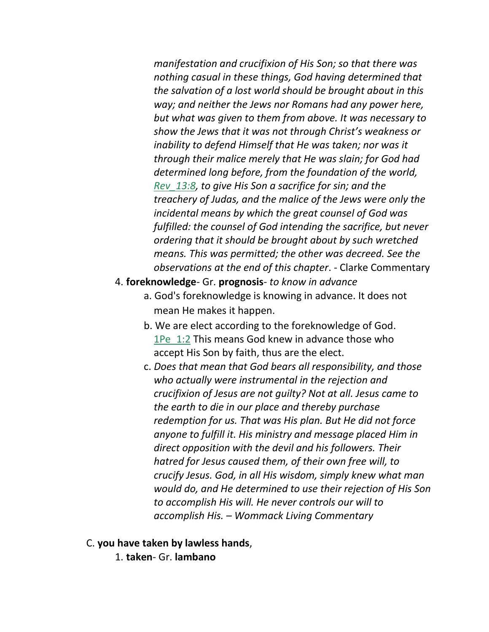*manifestation and crucifixion of His Son; so that there was nothing casual in these things, God having determined that the salvation of a lost world should be brought about in this way; and neither the Jews nor Romans had any power here, but what was given to them from above. It was necessary to show the Jews that it was not through Christ's weakness or inability to defend Himself that He was taken; nor was it through their malice merely that He was slain; for God had determined long before, from the foundation of the world, Rev\_13:8, to give His Son a sacrifice for sin; and the treachery of Judas, and the malice of the Jews were only the incidental means by which the great counsel of God was fulfilled: the counsel of God intending the sacrifice, but never ordering that it should be brought about by such wretched means. This was permitted; the other was decreed. See the observations at the end of this chapter*. - Clarke Commentary

- 4. **foreknowledge** Gr. **prognosis** *to know in advance*
	- a. God's foreknowledge is knowing in advance. It does not mean He makes it happen.
	- b. We are elect according to the foreknowledge of God. 1Pe 1:2 This means God knew in advance those who accept His Son by faith, thus are the elect.
	- c. *Does that mean that God bears all responsibility, and those who actually were instrumental in the rejection and crucifixion of Jesus are not guilty? Not at all. Jesus came to the earth to die in our place and thereby purchase redemption for us. That was His plan. But He did not force anyone to fulfill it. His ministry and message placed Him in direct opposition with the devil and his followers. Their hatred for Jesus caused them, of their own free will, to crucify Jesus. God, in all His wisdom, simply knew what man would do, and He determined to use their rejection of His Son to accomplish His will. He never controls our will to accomplish His. – Wommack Living Commentary*
- C. **you have taken by lawless hands**,
	- 1. **taken** Gr. **lambano**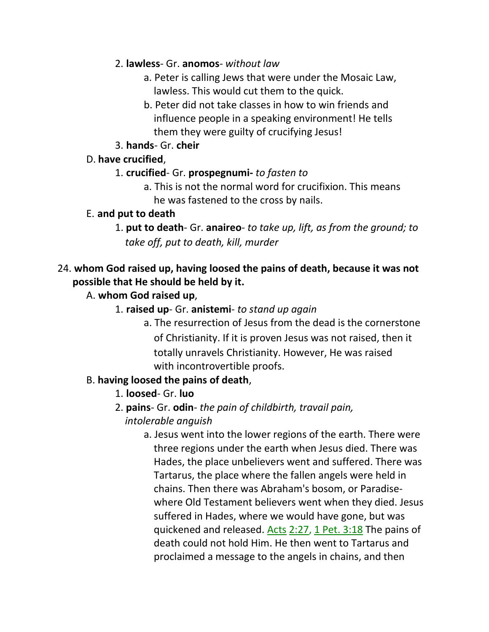- 2. **lawless** Gr. **anomos** *without law*
	- a. Peter is calling Jews that were under the Mosaic Law, lawless. This would cut them to the quick.
	- b. Peter did not take classes in how to win friends and influence people in a speaking environment! He tells them they were guilty of crucifying Jesus!
- 3. **hands** Gr. **cheir**

## D. **have crucified**,

- 1. **crucified** Gr. **prospegnumi-** *to fasten to*
	- a. This is not the normal word for crucifixion. This means he was fastened to the cross by nails.

### E. **and put to death**

1. **put to death**- Gr. **anaireo**- *to take up, lift, as from the ground; to* *take off, put to death, kill, murder*

## 24. **whom God raised up, having loosed the pains of death, because it was not possible that He should be held by it.**

## A. **whom God raised up**,

- 1. **raised up** Gr. **anistemi** *to stand up again*
	- a. The resurrection of Jesus from the dead is the cornerstone of Christianity. If it is proven Jesus was not raised, then it totally unravels Christianity. However, He was raised with incontrovertible proofs.

## B. **having loosed the pains of death**,

## 1. **loosed**- Gr. **luo**

- 2. **pains** Gr. **odin** *the pain of childbirth, travail pain,* 
	- *intolerable anguish*
		- a. Jesus went into the lower regions of the earth. There were three regions under the earth when Jesus died. There was Hades, the place unbelievers went and suffered. There was Tartarus, the place where the fallen angels were held in chains. Then there was Abraham's bosom, or Paradise where Old Testament believers went when they died. Jesus suffered in Hades, where we would have gone, but was quickened and released. Acts 2:27, 1 Pet. 3:18 The pains of death could not hold Him. He then went to Tartarus and proclaimed a message to the angels in chains, and then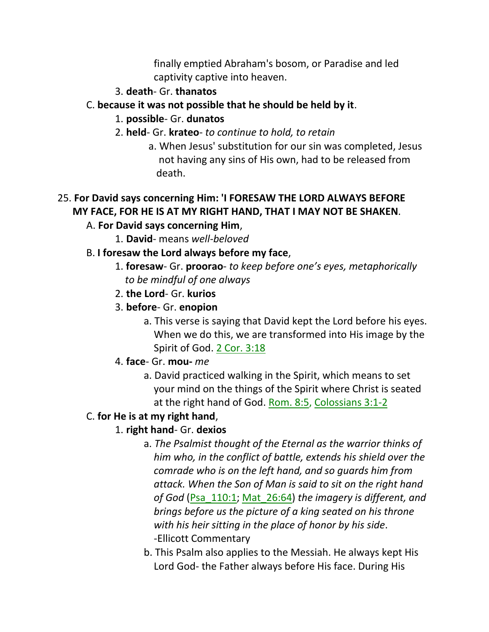finally emptied Abraham's bosom, or Paradise and led captivity captive into heaven.

### 3. **death**- Gr. **thanatos**

## C. **because it was not possible that he should be held by it**.

- 1. **possible** Gr. **dunatos**
- 2. **held** Gr. **krateo** *to continue to hold, to retain*
	- a. When Jesus' substitution for our sin was completed, Jesus not having any sins of His own, had to be released from death.

## 25. **For David says concerning Him: 'I FORESAW THE LORD ALWAYS BEFORE MY FACE, FOR HE IS AT MY RIGHT HAND, THAT I MAY NOT BE SHAKEN**.

## A. **For David says concerning Him**,

1. **David**- means *well-beloved*

## B. **I foresaw the Lord always before my face**,

- 1. **foresaw** Gr. **proorao** *to keep before one's eyes, metaphorically* *to be mindful of one always*
- 2. **the Lord** Gr. **kurios**
- 3. **before** Gr. **enopion**
	- a. This verse is saying that David kept the Lord before his eyes. When we do this, we are transformed into His image by the Spirit of God. 2 Cor. 3:18

## 4. **face**- Gr. **mou-** *me*

a. David practiced walking in the Spirit, which means to set your mind on the things of the Spirit where Christ is seated at the right hand of God. Rom. 8:5, Colossians 3:1-2

## C. **for He is at my right hand**,

## 1. **right hand**- Gr. **dexios**

- a. *The Psalmist thought of the Eternal as the warrior thinks of him who, in the conflict of battle, extends his shield over the comrade who is on the left hand, and so guards him from attack. When the Son of Man is said to sit on the right hand of God* (Psa\_110:1; Mat\_26:64) *the imagery is different, and brings before us the picture of a king seated on his throne with his heir sitting in the place of honor by his side*. -Ellicott Commentary
- b. This Psalm also applies to the Messiah. He always kept His Lord God- the Father always before His face. During His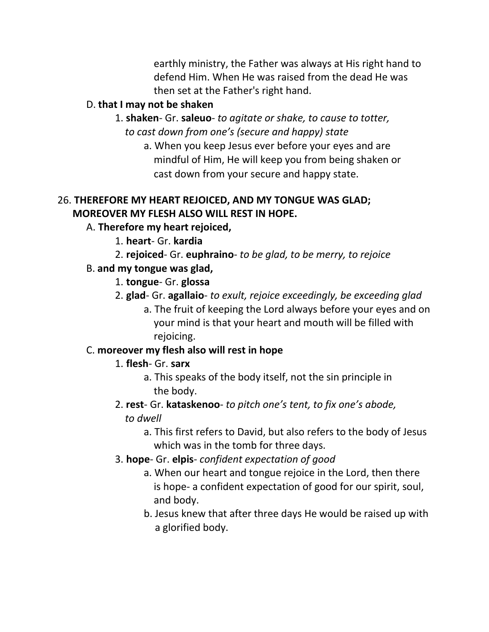earthly ministry, the Father was always at His right hand to defend Him. When He was raised from the dead He was then set at the Father's right hand.

## D. **that I may not be shaken**

- 1. **shaken** Gr. **saleuo** *to agitate or shake, to cause to totter,*  *to cast down from one's (secure and happy) state*
	- a. When you keep Jesus ever before your eyes and are mindful of Him, He will keep you from being shaken or cast down from your secure and happy state.

## 26. **THEREFORE MY HEART REJOICED, AND MY TONGUE WAS GLAD; MOREOVER MY FLESH ALSO WILL REST IN HOPE.**

## A. **Therefore my heart rejoiced,**

- 1. **heart** Gr. **kardia**
- 2. **rejoiced** Gr. **euphraino** *to be glad, to be merry, to rejoice*

## B. **and my tongue was glad,**

- 1. **tongue** Gr. **glossa**
- 2. **glad** Gr. **agallaio** *to exult, rejoice exceedingly, be exceeding glad*
	- a. The fruit of keeping the Lord always before your eyes and on your mind is that your heart and mouth will be filled with rejoicing.

## C. **moreover my flesh also will rest in hope**

## 1. **flesh**- Gr. **sarx**

a. This speaks of the body itself, not the sin principle in the body.

## 2. **rest**- Gr. **kataskenoo**- *to pitch one's tent, to fix one's abode, to dwell*

- a. This first refers to David, but also refers to the body of Jesus which was in the tomb for three days.
- 3. **hope** Gr. **elpis** *confident expectation of good*
	- a. When our heart and tongue rejoice in the Lord, then there is hope- a confident expectation of good for our spirit, soul, and body.
	- b. Jesus knew that after three days He would be raised up with a glorified body.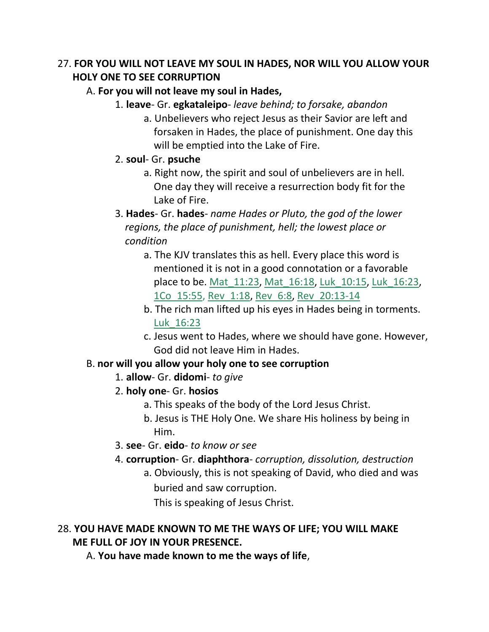## 27. **FOR YOU WILL NOT LEAVE MY SOUL IN HADES, NOR WILL YOU ALLOW YOUR HOLY ONE TO SEE CORRUPTION**

## A. **For you will not leave my soul in Hades,**

- 1. **leave** Gr. **egkataleipo** *leave behind; to forsake, abandon*
	- a. Unbelievers who reject Jesus as their Savior are left and forsaken in Hades, the place of punishment. One day this will be emptied into the Lake of Fire.
- 2. **soul** Gr. **psuche**
	- a. Right now, the spirit and soul of unbelievers are in hell. One day they will receive a resurrection body fit for the Lake of Fire.
- 3. **Hades** Gr. **hades** *name Hades or Pluto, the god of the lower regions, the place of punishment, hell; the lowest place or condition*
	- a. The KJV translates this as hell. Every place this word is mentioned it is not in a good connotation or a favorable place to be. Mat\_11:23, Mat\_16:18, Luk\_10:15, Luk\_16:23, 1Co\_15:55, Rev\_1:18, Rev\_6:8, Rev\_20:13-14
	- b. The rich man lifted up his eyes in Hades being in torments. Luk\_16:23
	- c. Jesus went to Hades, where we should have gone. However, God did not leave Him in Hades.

## B. **nor will you allow your holy one to see corruption**

- 1. **allow** Gr. **didomi** *to give*
- 2. **holy one** Gr. **hosios**
	- a. This speaks of the body of the Lord Jesus Christ.
	- b. Jesus is THE Holy One. We share His holiness by being in Him.
- 3. **see** Gr. **eido** *to know or see*
- 4. **corruption** Gr. **diaphthora** *corruption, dissolution, destruction*
	- a. Obviously, this is not speaking of David, who died and was buried and saw corruption.

This is speaking of Jesus Christ.

## 28. **YOU HAVE MADE KNOWN TO ME THE WAYS OF LIFE; YOU WILL MAKE ME FULL OF JOY IN YOUR PRESENCE.**

A. **You have made known to me the ways of life**,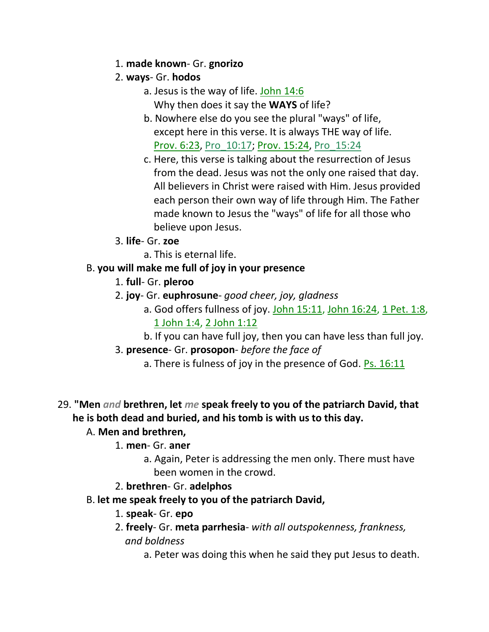- 1. **made known** Gr. **gnorizo**
- 2. **ways** Gr. **hodos**
	- a. Jesus is the way of life. John 14:6 Why then does it say the **WAYS** of life?
	- b. Nowhere else do you see the plural "ways" of life, except here in this verse. It is always THE way of life. Prov. 6:23, Pro\_10:17; Prov. 15:24, Pro\_15:24
	- c. Here, this verse is talking about the resurrection of Jesus from the dead. Jesus was not the only one raised that day. All believers in Christ were raised with Him. Jesus provided each person their own way of life through Him. The Father made known to Jesus the "ways" of life for all those who believe upon Jesus.
- 3. **life** Gr. **zoe**
	- a. This is eternal life.
- B. **you will make me full of joy in your presence**
	- 1. **full** Gr. **pleroo**
	- 2. **joy** Gr. **euphrosune** *good cheer, joy, gladness*
		- a. God offers fullness of joy. John 15:11, John 16:24, 1 Pet. 1:8, 1 John 1:4, 2 John 1:12
		- b. If you can have full joy, then you can have less than full joy.
	- 3. **presence** Gr. **prosopon** *before the face of*
		- a. There is fulness of joy in the presence of God. **Ps. 16:11**

## 29. **"Men** *and* **brethren, let** *me* **speak freely to you of the patriarch David, that he is both dead and buried, and his tomb is with us to this day.**

## A. **Men and brethren,**

## 1. **men**- Gr. **aner**

- a. Again, Peter is addressing the men only. There must have been women in the crowd.
- 2. **brethren** Gr. **adelphos**
- B. **let me speak freely to you of the patriarch David,**
	- 1. **speak** Gr. **epo**
	- 2. **freely** Gr. **meta parrhesia** *with all outspokenness, frankness, and boldness*
		- a. Peter was doing this when he said they put Jesus to death.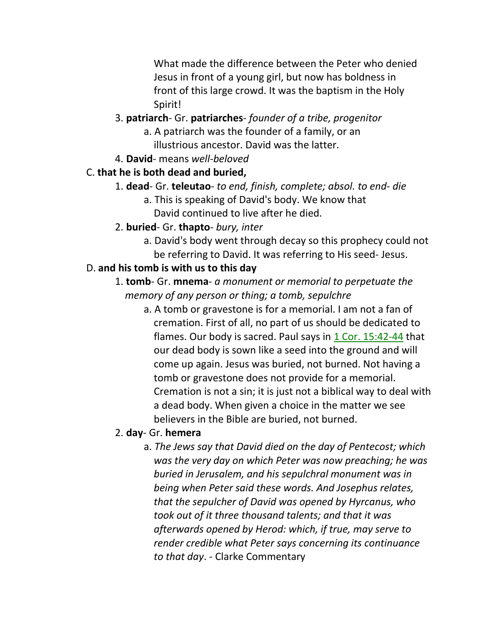What made the difference between the Peter who denied Jesus in front of a young girl, but now has boldness in front of this large crowd. It was the baptism in the Holy Spirit!

- 3. **patriarch** Gr. **patriarches** *founder of a tribe, progenitor*
	- a. A patriarch was the founder of a family, or an illustrious ancestor. David was the latter.
- 4. **David** means *well-beloved*

### C. **that he is both dead and buried,**

- 1. **dead** Gr. **teleutao** *to end, finish, complete; absol. to end- die*
	- a. This is speaking of David's body. We know that David continued to live after he died.
- 2. **buried** Gr. **thapto** *bury, inter*
	- a. David's body went through decay so this prophecy could not be referring to David. It was referring to His seed- Jesus.

### D. **and his tomb is with us to this day**

1. **tomb**- Gr. **mnema**- *a monument or memorial to perpetuate the* *memory of any person or thing; a tomb, sepulchre*

a. A tomb or gravestone is for a memorial. I am not a fan of cremation. First of all, no part of us should be dedicated to flames. Our body is sacred. Paul says in 1 Cor. 15:42-44 that our dead body is sown like a seed into the ground and will come up again. Jesus was buried, not burned. Not having a tomb or gravestone does not provide for a memorial. Cremation is not a sin; it is just not a biblical way to deal with a dead body. When given a choice in the matter we see believers in the Bible are buried, not burned.

#### 2. **day**- Gr. **hemera**

a. *The Jews say that David died on the day of Pentecost; which was the very day on which Peter was now preaching; he was buried in Jerusalem, and his sepulchral monument was in being when Peter said these words. And Josephus relates, that the sepulcher of David was opened by Hyrcanus, who took out of it three thousand talents; and that it was afterwards opened by Herod: which, if true, may serve to render credible what Peter says concerning its continuance to that day*. - Clarke Commentary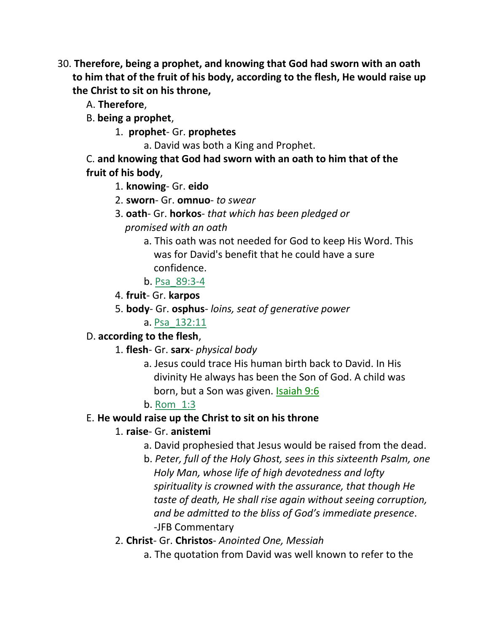- 30. **Therefore, being a prophet, and knowing that God had sworn with an oath to him that of the fruit of his body, according to the flesh, He would raise up the Christ to sit on his throne,**
	- A. **Therefore**,
	- B. **being a prophet**,
		- 1. **prophet** Gr. **prophetes**

a. David was both a King and Prophet.

C. **and knowing that God had sworn with an oath to him that of the fruit of his body**,

1. **knowing**- Gr. **eido**

- 2. **sworn** Gr. **omnuo** *to swear*
- 3. **oath** Gr. **horkos** *that which has been pledged or*  *promised with an oath*
	- a. This oath was not needed for God to keep His Word. This was for David's benefit that he could have a sure confidence.
	- b. Psa\_89:3-4
- 4. **fruit** Gr. **karpos**
- 5. **body** Gr. **osphus** *loins, seat of generative power*
	- a. Psa\_132:11

## D. **according to the flesh**,

- 1. **flesh** Gr. **sarx** *physical body*
	- a. Jesus could trace His human birth back to David. In His divinity He always has been the Son of God. A child was born, but a Son was given. Isaiah 9:6

## b. Rom\_1:3

## E. **He would raise up the Christ to sit on his throne**

## 1. **raise**- Gr. **anistemi**

- a. David prophesied that Jesus would be raised from the dead.
- b. *Peter, full of the Holy Ghost, sees in this sixteenth Psalm, one Holy Man, whose life of high devotedness and lofty spirituality is crowned with the assurance, that though He taste of death, He shall rise again without seeing corruption, and be admitted to the bliss of God's immediate presence*. -JFB Commentary

## 2. **Christ**- Gr. **Christos**- *Anointed One, Messiah*

a. The quotation from David was well known to refer to the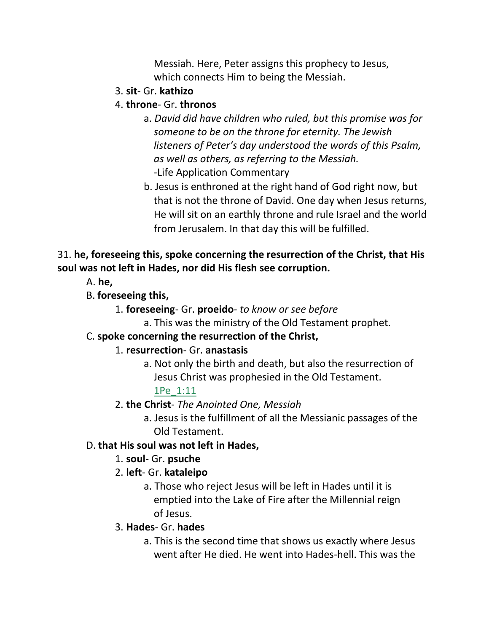Messiah. Here, Peter assigns this prophecy to Jesus, which connects Him to being the Messiah.

- 3. **sit** Gr. **kathizo**
- 4. **throne** Gr. **thronos**
	- a. *David did have children who ruled, but this promise was for someone to be on the throne for eternity. The Jewish listeners of Peter's day understood the words of this Psalm, as well as others, as referring to the Messiah.* -Life Application Commentary
	- b. Jesus is enthroned at the right hand of God right now, but that is not the throne of David. One day when Jesus returns, He will sit on an earthly throne and rule Israel and the world from Jerusalem. In that day this will be fulfilled.

## 31. **he, foreseeing this, spoke concerning the resurrection of the Christ, that His soul was not left in Hades, nor did His flesh see corruption.**

A. **he,**

- B. **foreseeing this,**
	- 1. **foreseeing** Gr. **proeido** *to know or see before*
		- a. This was the ministry of the Old Testament prophet.

## C. **spoke concerning the resurrection of the Christ,**

## 1. **resurrection**- Gr. **anastasis**

a. Not only the birth and death, but also the resurrection of Jesus Christ was prophesied in the Old Testament.

1Pe\_1:11

- 2. **the Christ** *The Anointed One, Messiah*
	- a. Jesus is the fulfillment of all the Messianic passages of the Old Testament.

## D. **that His soul was not left in Hades,**

## 1. **soul**- Gr. **psuche**

- 2. **left** Gr. **kataleipo**
	- a. Those who reject Jesus will be left in Hades until it is emptied into the Lake of Fire after the Millennial reign of Jesus.

## 3. **Hades**- Gr. **hades**

a. This is the second time that shows us exactly where Jesus went after He died. He went into Hades-hell. This was the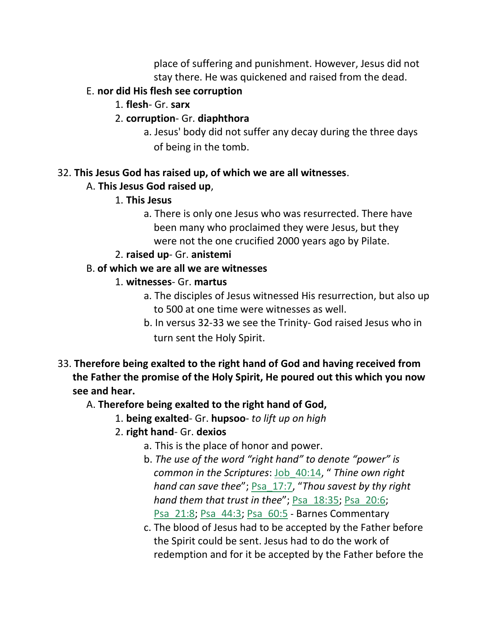place of suffering and punishment. However, Jesus did not stay there. He was quickened and raised from the dead.

## E. **nor did His flesh see corruption**

- 1. **flesh** Gr. **sarx**
- 2. **corruption** Gr. **diaphthora**
	- a. Jesus' body did not suffer any decay during the three days of being in the tomb.

## 32. **This Jesus God has raised up, of which we are all witnesses**.

## A. **This Jesus God raised up**,

- 1. **This Jesus**
	- a. There is only one Jesus who was resurrected. There have been many who proclaimed they were Jesus, but they were not the one crucified 2000 years ago by Pilate.
- 2. **raised up** Gr. **anistemi**

## B. **of which we are all we are witnesses**

- 1. **witnesses** Gr. **martus**
	- a. The disciples of Jesus witnessed His resurrection, but also up to 500 at one time were witnesses as well.
	- b. In versus 32-33 we see the Trinity- God raised Jesus who in turn sent the Holy Spirit.

## 33. **Therefore being exalted to the right hand of God and having received from the Father the promise of the Holy Spirit, He poured out this which you now see and hear.**

# A. **Therefore being exalted to the right hand of God,**

- 1. **being exalted** Gr. **hupsoo** *to lift up on high*
- 2. **right hand** Gr. **dexios**
	- a. This is the place of honor and power.
	- b. *The use of the word "right hand" to denote "power" is common in the Scriptures*: Job\_40:14, " *Thine own right hand can save thee*"; Psa\_17:7, "*Thou savest by thy right hand them that trust in thee*"; Psa\_18:35; Psa\_20:6; Psa\_21:8; Psa\_44:3; Psa\_60:5 - Barnes Commentary
	- c. The blood of Jesus had to be accepted by the Father before the Spirit could be sent. Jesus had to do the work of redemption and for it be accepted by the Father before the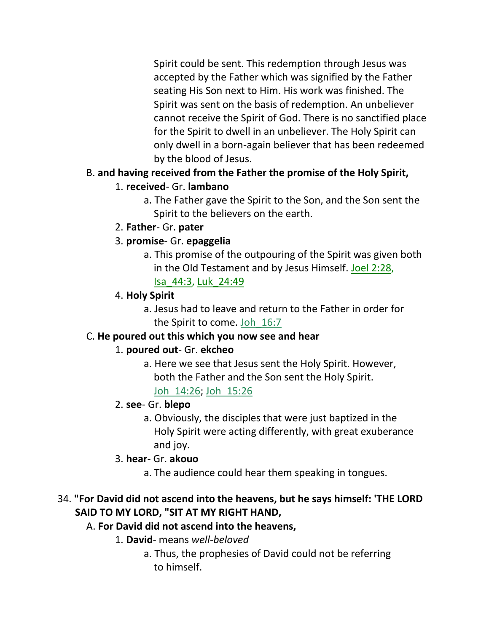Spirit could be sent. This redemption through Jesus was accepted by the Father which was signified by the Father seating His Son next to Him. His work was finished. The Spirit was sent on the basis of redemption. An unbeliever cannot receive the Spirit of God. There is no sanctified place for the Spirit to dwell in an unbeliever. The Holy Spirit can only dwell in a born-again believer that has been redeemed by the blood of Jesus.

## B. **and having received from the Father the promise of the Holy Spirit,**

## 1. **received**- Gr. **lambano**

a. The Father gave the Spirit to the Son, and the Son sent the Spirit to the believers on the earth.

### 2. **Father**- Gr. **pater**

### 3. **promise**- Gr. **epaggelia**

a. This promise of the outpouring of the Spirit was given both in the Old Testament and by Jesus Himself. Joel 2:28,

Isa\_44:3, Luk\_24:49

### 4. **Holy Spirit**

a. Jesus had to leave and return to the Father in order for the Spirit to come. Joh\_16:7

## C. **He poured out this which you now see and hear**

## 1. **poured out**- Gr. **ekcheo**

- a. Here we see that Jesus sent the Holy Spirit. However, both the Father and the Son sent the Holy Spirit. Joh\_14:26; Joh\_15:26
- 2. **see** Gr. **blepo**
	- a. Obviously, the disciples that were just baptized in the Holy Spirit were acting differently, with great exuberance and joy.

## 3. **hear**- Gr. **akouo**

a. The audience could hear them speaking in tongues.

## 34. **"For David did not ascend into the heavens, but he says himself: 'THE LORD SAID TO MY LORD, "SIT AT MY RIGHT HAND,**

## A. **For David did not ascend into the heavens,**

- 1. **David** means *well-beloved*
	- a. Thus, the prophesies of David could not be referring to himself.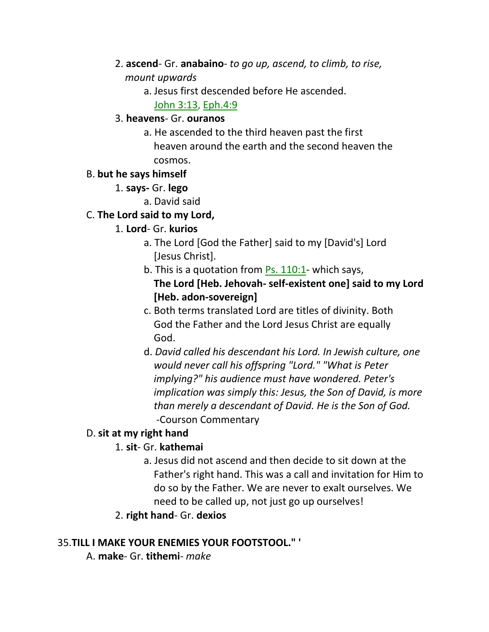- 2. **ascend** Gr. **anabaino** *to go up, ascend, to climb, to rise, mount upwards*
	- a. Jesus first descended before He ascended.

John 3:13, Eph.4:9

### 3. **heavens**- Gr. **ouranos**

a. He ascended to the third heaven past the first heaven around the earth and the second heaven the cosmos.

## B. **but he says himself**

- 1. **says-** Gr. **lego**
	- a. David said

## C. **The Lord said to my Lord,**

- 1. **Lord** Gr. **kurios**
	- a. The Lord [God the Father] said to my [David's] Lord [Jesus Christ].
	- b. This is a quotation from Ps. 110:1- which says, **The Lord [Heb. Jehovah- self-existent one] said to my Lord [Heb. adon-sovereign]**
	- c. Both terms translated Lord are titles of divinity. Both God the Father and the Lord Jesus Christ are equally God.
	- d. *David called his descendant his Lord. In Jewish culture, one would never call his offspring "Lord." "What is Peter implying?" his audience must have wondered. Peter's implication was simply this: Jesus, the Son of David, is more than merely a descendant of David. He is the Son of God.* -Courson Commentary

## D. **sit at my right hand**

## 1. **sit**- Gr. **kathemai**

- a. Jesus did not ascend and then decide to sit down at the Father's right hand. This was a call and invitation for Him to do so by the Father. We are never to exalt ourselves. We need to be called up, not just go up ourselves!
- 2. **right hand** Gr. **dexios**

## 35.**TILL I MAKE YOUR ENEMIES YOUR FOOTSTOOL." '**

A. **make**- Gr. **tithemi**- *make*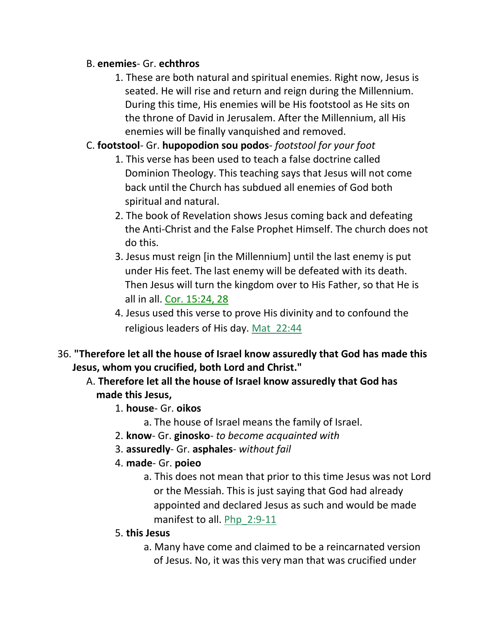#### B. **enemies**- Gr. **echthros**

- 1. These are both natural and spiritual enemies. Right now, Jesus is seated. He will rise and return and reign during the Millennium. During this time, His enemies will be His footstool as He sits on the throne of David in Jerusalem. After the Millennium, all His enemies will be finally vanquished and removed.
- C. **footstool** Gr. **hupopodion sou podos** *footstool for your foot*
	- 1. This verse has been used to teach a false doctrine called Dominion Theology. This teaching says that Jesus will not come back until the Church has subdued all enemies of God both spiritual and natural.
	- 2. The book of Revelation shows Jesus coming back and defeating the Anti-Christ and the False Prophet Himself. The church does not do this.
	- 3. Jesus must reign [in the Millennium] until the last enemy is put under His feet. The last enemy will be defeated with its death. Then Jesus will turn the kingdom over to His Father, so that He is all in all. Cor. 15:24, 28
	- 4. Jesus used this verse to prove His divinity and to confound the religious leaders of His day. Mat\_22:44
- 36. **"Therefore let all the house of Israel know assuredly that God has made this Jesus, whom you crucified, both Lord and Christ."**
	- A. **Therefore let all the house of Israel know assuredly that God has made this Jesus,**
		- 1. **house** Gr. **oikos**
			- a. The house of Israel means the family of Israel.
		- 2. **know** Gr. **ginosko** *to become acquainted with*
		- 3. **assuredly** Gr. **asphales** *without fail*
		- 4. **made** Gr. **poieo**
			- a. This does not mean that prior to this time Jesus was not Lord or the Messiah. This is just saying that God had already appointed and declared Jesus as such and would be made manifest to all. Php 2:9-11
		- 5. **this Jesus**
			- a. Many have come and claimed to be a reincarnated version of Jesus. No, it was this very man that was crucified under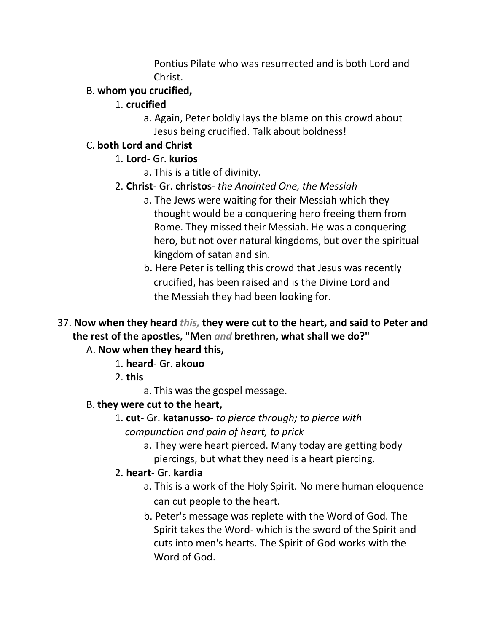Pontius Pilate who was resurrected and is both Lord and Christ.

## B. **whom you crucified,**

- 1. **crucified**
	- a. Again, Peter boldly lays the blame on this crowd about Jesus being crucified. Talk about boldness!

## C. **both Lord and Christ**

## 1. **Lord**- Gr. **kurios**

- a. This is a title of divinity.
- 2. **Christ** Gr. **christos** *the Anointed One, the Messiah*
	- a. The Jews were waiting for their Messiah which they thought would be a conquering hero freeing them from Rome. They missed their Messiah. He was a conquering hero, but not over natural kingdoms, but over the spiritual kingdom of satan and sin.
	- b. Here Peter is telling this crowd that Jesus was recently crucified, has been raised and is the Divine Lord and the Messiah they had been looking for.
- 37. **Now when they heard** *this,* **they were cut to the heart, and said to Peter and the rest of the apostles, "Men** *and* **brethren, what shall we do?"**

## A. **Now when they heard this,**

- 1. **heard** Gr. **akouo**
- 2. **this**
	- a. This was the gospel message.

# B. **they were cut to the heart,**

- 1. **cut** Gr. **katanusso** *to pierce through; to pierce with*  *compunction and pain of heart, to prick*
	- a. They were heart pierced. Many today are getting body piercings, but what they need is a heart piercing.

# 2. **heart**- Gr. **kardia**

- a. This is a work of the Holy Spirit. No mere human eloquence can cut people to the heart.
- b. Peter's message was replete with the Word of God. The Spirit takes the Word- which is the sword of the Spirit and cuts into men's hearts. The Spirit of God works with the Word of God.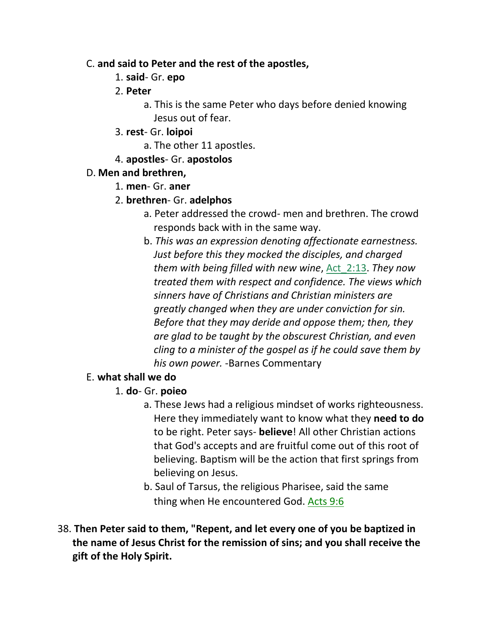#### C. **and said to Peter and the rest of the apostles,**

- 1. **said** Gr. **epo**
- 2. **Peter**
	- a. This is the same Peter who days before denied knowing Jesus out of fear.
- 3. **rest** Gr. **loipoi**
	- a. The other 11 apostles.
- 4. **apostles** Gr. **apostolos**

## D. **Men and brethren,**

- 1. **men** Gr. **aner**
- 2. **brethren** Gr. **adelphos**
	- a. Peter addressed the crowd- men and brethren. The crowd responds back with in the same way.
	- b. *This was an expression denoting affectionate earnestness. Just before this they mocked the disciples, and charged them with being filled with new wine*, Act\_2:13. *They now treated them with respect and confidence. The views which sinners have of Christians and Christian ministers are greatly changed when they are under conviction for sin. Before that they may deride and oppose them; then, they are glad to be taught by the obscurest Christian, and even cling to a minister of the gospel as if he could save them by his own power.* -Barnes Commentary

## E. **what shall we do**

## 1. **do**- Gr. **poieo**

- a. These Jews had a religious mindset of works righteousness. Here they immediately want to know what they **need to do** to be right. Peter says- **believe**! All other Christian actions that God's accepts and are fruitful come out of this root of believing. Baptism will be the action that first springs from believing on Jesus.
- b. Saul of Tarsus, the religious Pharisee, said the same thing when He encountered God. Acts 9:6
- 38. **Then Peter said to them, "Repent, and let every one of you be baptized in the name of Jesus Christ for the remission of sins; and you shall receive the gift of the Holy Spirit.**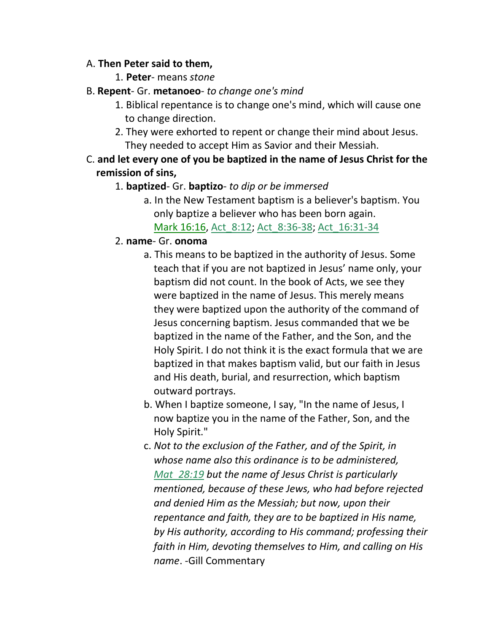#### A. **Then Peter said to them,**

- 1. **Peter** means *stone*
- B. **Repent** Gr. **metanoeo** *to change one's mind*
	- 1. Biblical repentance is to change one's mind, which will cause one to change direction.
	- 2. They were exhorted to repent or change their mind about Jesus. They needed to accept Him as Savior and their Messiah.
- C. **and let every one of you be baptized in the name of Jesus Christ for the remission of sins,**

### 1. **baptized**- Gr. **baptizo**- *to dip or be immersed*

- a. In the New Testament baptism is a believer's baptism. You only baptize a believer who has been born again. Mark 16:16, Act 8:12; Act 8:36-38; Act 16:31-34
- 2. **name** Gr. **onoma**
	- a. This means to be baptized in the authority of Jesus. Some teach that if you are not baptized in Jesus' name only, your baptism did not count. In the book of Acts, we see they were baptized in the name of Jesus. This merely means they were baptized upon the authority of the command of Jesus concerning baptism. Jesus commanded that we be baptized in the name of the Father, and the Son, and the Holy Spirit. I do not think it is the exact formula that we are baptized in that makes baptism valid, but our faith in Jesus and His death, burial, and resurrection, which baptism outward portrays.
	- b. When I baptize someone, I say, "In the name of Jesus, I now baptize you in the name of the Father, Son, and the Holy Spirit."
	- c. *Not to the exclusion of the Father, and of the Spirit, in whose name also this ordinance is to be administered, Mat\_28:19 but the name of Jesus Christ is particularly mentioned, because of these Jews, who had before rejected and denied Him as the Messiah; but now, upon their repentance and faith, they are to be baptized in His name, by His authority, according to His command; professing their faith in Him, devoting themselves to Him, and calling on His name*. -Gill Commentary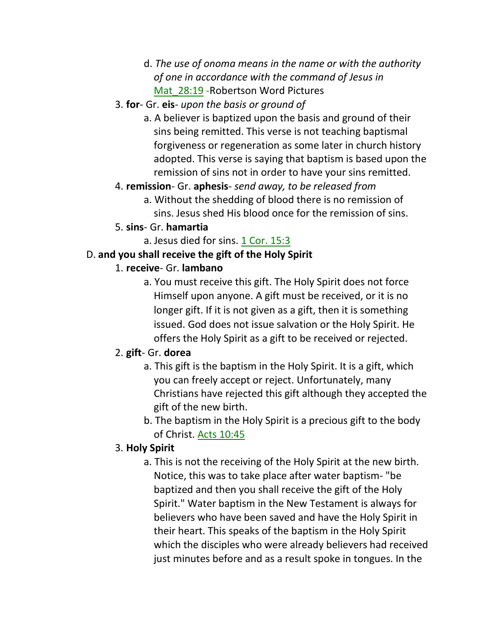- d. *The use of onoma means in the name or with the authority of one in accordance with the command of Jesus in* **Mat** 28:19 -Robertson Word Pictures
- 3. **for** Gr. **eis** *upon the basis or ground of*
	- a. A believer is baptized upon the basis and ground of their sins being remitted. This verse is not teaching baptismal forgiveness or regeneration as some later in church history adopted. This verse is saying that baptism is based upon the remission of sins not in order to have your sins remitted.

### 4. **remission**- Gr. **aphesis**- *send away, to be released from*

a. Without the shedding of blood there is no remission of sins. Jesus shed His blood once for the remission of sins.

### 5. **sins**- Gr. **hamartia**

a. Jesus died for sins. 1 Cor. 15:3

### D. **and you shall receive the gift of the Holy Spirit**

#### 1. **receive**- Gr. **lambano**

a. You must receive this gift. The Holy Spirit does not force Himself upon anyone. A gift must be received, or it is no longer gift. If it is not given as a gift, then it is something issued. God does not issue salvation or the Holy Spirit. He offers the Holy Spirit as a gift to be received or rejected.

## 2. **gift**- Gr. **dorea**

- a. This gift is the baptism in the Holy Spirit. It is a gift, which you can freely accept or reject. Unfortunately, many Christians have rejected this gift although they accepted the gift of the new birth.
- b. The baptism in the Holy Spirit is a precious gift to the body of Christ. Acts 10:45

## 3. **Holy Spirit**

a. This is not the receiving of the Holy Spirit at the new birth. Notice, this was to take place after water baptism- "be baptized and then you shall receive the gift of the Holy Spirit." Water baptism in the New Testament is always for believers who have been saved and have the Holy Spirit in their heart. This speaks of the baptism in the Holy Spirit which the disciples who were already believers had received just minutes before and as a result spoke in tongues. In the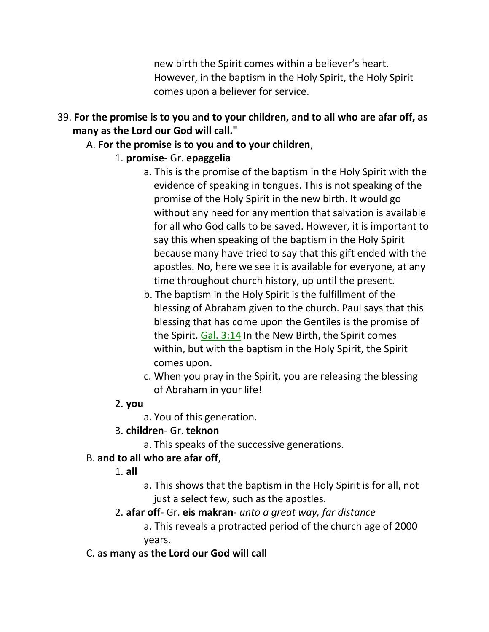new birth the Spirit comes within a believer's heart. However, in the baptism in the Holy Spirit, the Holy Spirit comes upon a believer for service.

## 39. **For the promise is to you and to your children, and to all who are afar off, as many as the Lord our God will call."**

## A. **For the promise is to you and to your children**,

## 1. **promise**- Gr. **epaggelia**

- a. This is the promise of the baptism in the Holy Spirit with the evidence of speaking in tongues. This is not speaking of the promise of the Holy Spirit in the new birth. It would go without any need for any mention that salvation is available for all who God calls to be saved. However, it is important to say this when speaking of the baptism in the Holy Spirit because many have tried to say that this gift ended with the apostles. No, here we see it is available for everyone, at any time throughout church history, up until the present.
- b. The baptism in the Holy Spirit is the fulfillment of the blessing of Abraham given to the church. Paul says that this blessing that has come upon the Gentiles is the promise of the Spirit. Gal. 3:14 In the New Birth, the Spirit comes within, but with the baptism in the Holy Spirit, the Spirit comes upon.
- c. When you pray in the Spirit, you are releasing the blessing of Abraham in your life!

## 2. **you**

- a. You of this generation.
- 3. **children** Gr. **teknon**
	- a. This speaks of the successive generations.

# B. **and to all who are afar off**,

- 1. **all**
- a. This shows that the baptism in the Holy Spirit is for all, not just a select few, such as the apostles.
- 2. **afar off** Gr. **eis makran** *unto a great way, far distance*

a. This reveals a protracted period of the church age of 2000 years.

## C. **as many as the Lord our God will call**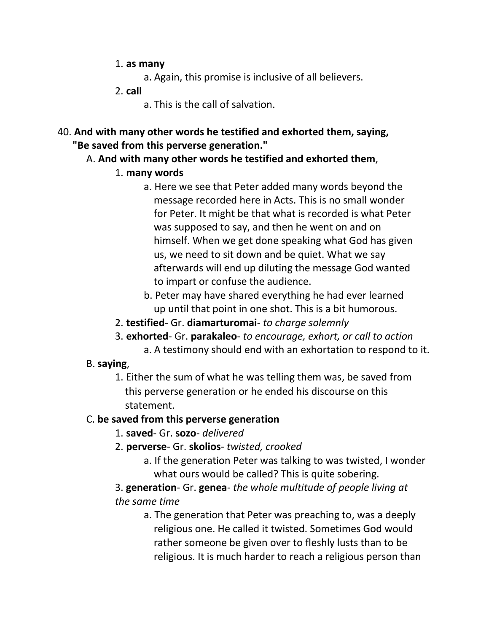- 1. **as many**
	- a. Again, this promise is inclusive of all believers.
- 2. **call**
	- a. This is the call of salvation.
- 40. **And with many other words he testified and exhorted them, saying, "Be saved from this perverse generation."**
	- A. **And with many other words he testified and exhorted them**,
		- 1. **many words**
			- a. Here we see that Peter added many words beyond the message recorded here in Acts. This is no small wonder for Peter. It might be that what is recorded is what Peter was supposed to say, and then he went on and on himself. When we get done speaking what God has given us, we need to sit down and be quiet. What we say afterwards will end up diluting the message God wanted to impart or confuse the audience.
			- b. Peter may have shared everything he had ever learned up until that point in one shot. This is a bit humorous.
		- 2. **testified** Gr. **diamarturomai** *to charge solemnly*
		- 3. **exhorted** Gr. **parakaleo** *to encourage, exhort, or call to action*
			- a. A testimony should end with an exhortation to respond to it.
	- B. **saying**,
		- 1. Either the sum of what he was telling them was, be saved from this perverse generation or he ended his discourse on this statement.

## C. **be saved from this perverse generation**

- 1. **saved** Gr. **sozo** *delivered*
- 2. **perverse** Gr. **skolios** *twisted, crooked*
	- a. If the generation Peter was talking to was twisted, I wonder what ours would be called? This is quite sobering.

## 3. **generation**- Gr. **genea**- *the whole multitude of people living at the same time*

a. The generation that Peter was preaching to, was a deeply religious one. He called it twisted. Sometimes God would rather someone be given over to fleshly lusts than to be religious. It is much harder to reach a religious person than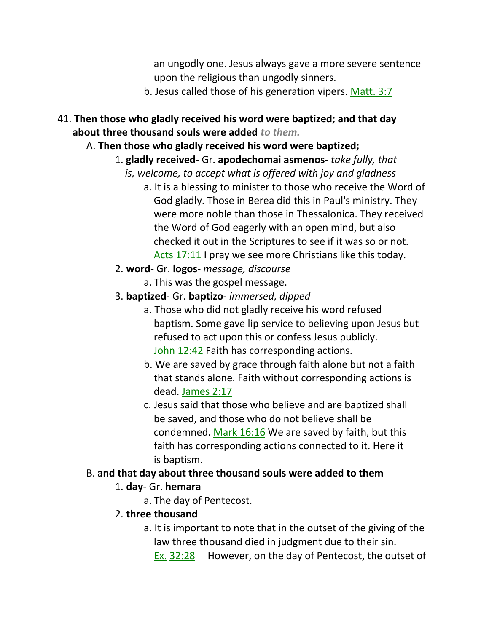an ungodly one. Jesus always gave a more severe sentence upon the religious than ungodly sinners.

- b. Jesus called those of his generation vipers. Matt. 3:7
- 41. **Then those who gladly received his word were baptized; and that day about three thousand souls were added** *to them.*
	- A. **Then those who gladly received his word were baptized;**

## 1. **gladly received**- Gr. **apodechomai asmenos**- *take fully, that*

- *is, welcome, to accept what is offered with joy and gladness*
	- a. It is a blessing to minister to those who receive the Word of God gladly. Those in Berea did this in Paul's ministry. They were more noble than those in Thessalonica. They received the Word of God eagerly with an open mind, but also checked it out in the Scriptures to see if it was so or not. Acts 17:11 I pray we see more Christians like this today.
- 2. **word** Gr. **logos** *message, discourse*
	- a. This was the gospel message.
- 3. **baptized** Gr. **baptizo** *immersed, dipped*
	- a. Those who did not gladly receive his word refused baptism. Some gave lip service to believing upon Jesus but refused to act upon this or confess Jesus publicly. John 12:42 Faith has corresponding actions.
	- b. We are saved by grace through faith alone but not a faith that stands alone. Faith without corresponding actions is dead. James 2:17
	- c. Jesus said that those who believe and are baptized shall be saved, and those who do not believe shall be condemned. Mark 16:16 We are saved by faith, but this faith has corresponding actions connected to it. Here it is baptism.

## B. **and that day about three thousand souls were added to them**

## 1. **day**- Gr. **hemara**

- a. The day of Pentecost.
- 2. **three thousand**
	- a. It is important to note that in the outset of the giving of the law three thousand died in judgment due to their sin.

```
 Ex. 32:28 However, on the day of Pentecost, the outset of
```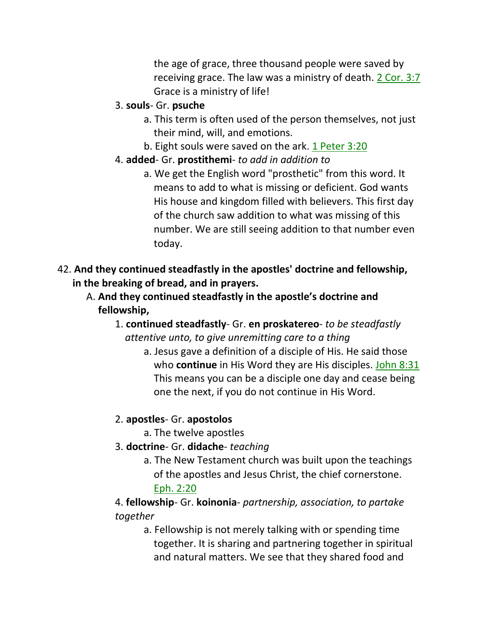the age of grace, three thousand people were saved by receiving grace. The law was a ministry of death. 2 Cor. 3:7 Grace is a ministry of life!

## 3. **souls**- Gr. **psuche**

- a. This term is often used of the person themselves, not just their mind, will, and emotions.
- b. Eight souls were saved on the ark. 1 Peter 3:20

## 4. **added**- Gr. **prostithemi**- *to add in addition to*

- a. We get the English word "prosthetic" from this word. It means to add to what is missing or deficient. God wants His house and kingdom filled with believers. This first day of the church saw addition to what was missing of this number. We are still seeing addition to that number even today.
- 42. **And they continued steadfastly in the apostles' doctrine and fellowship, in the breaking of bread, and in prayers.**
	- A. **And they continued steadfastly in the apostle's doctrine and fellowship,**
		- 1. **continued steadfastly** Gr. **en proskatereo** *to be steadfastly* *attentive unto, to give unremitting care to a thing*
			- a. Jesus gave a definition of a disciple of His. He said those who **continue** in His Word they are His disciples. John 8:31 This means you can be a disciple one day and cease being one the next, if you do not continue in His Word.

## 2. **apostles**- Gr. **apostolos**

- a. The twelve apostles
- 3. **doctrine** Gr. **didache** *teaching*
	- a. The New Testament church was built upon the teachings of the apostles and Jesus Christ, the chief cornerstone. Eph. 2:20

## 4. **fellowship**- Gr. **koinonia**- *partnership, association, to partake together*

a. Fellowship is not merely talking with or spending time together. It is sharing and partnering together in spiritual and natural matters. We see that they shared food and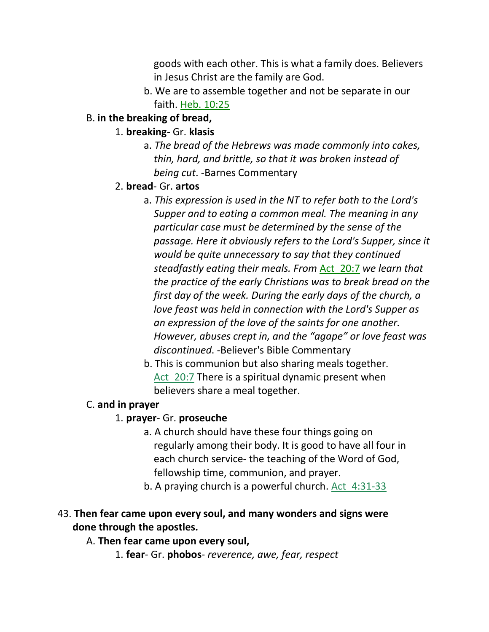goods with each other. This is what a family does. Believers in Jesus Christ are the family are God.

b. We are to assemble together and not be separate in our faith. Heb. 10:25

## B. **in the breaking of bread,**

- 1. **breaking** Gr. **klasis**
	- a. *The bread of the Hebrews was made commonly into cakes, thin, hard, and brittle, so that it was broken instead of being cut*. -Barnes Commentary

## 2. **bread**- Gr. **artos**

- a. *This expression is used in the NT to refer both to the Lord's Supper and to eating a common meal. The meaning in any particular case must be determined by the sense of the passage. Here it obviously refers to the Lord's Supper, since it would be quite unnecessary to say that they continued steadfastly eating their meals. From* Act\_20:7 *we learn that the practice of the early Christians was to break bread on the first day of the week. During the early days of the church, a love feast was held in connection with the Lord's Supper as an expression of the love of the saints for one another. However, abuses crept in, and the "agape" or love feast was discontinued*. -Believer's Bible Commentary
- b. This is communion but also sharing meals together. Act 20:7 There is a spiritual dynamic present when believers share a meal together.

## C. **and in prayer**

## 1. **prayer**- Gr. **proseuche**

- a. A church should have these four things going on regularly among their body. It is good to have all four in each church service- the teaching of the Word of God, fellowship time, communion, and prayer.
- b. A praying church is a powerful church. Act 4:31-33

## 43. **Then fear came upon every soul, and many wonders and signs were done through the apostles.**

#### A. **Then fear came upon every soul,**

1. **fear**- Gr. **phobos**- *reverence, awe, fear, respect*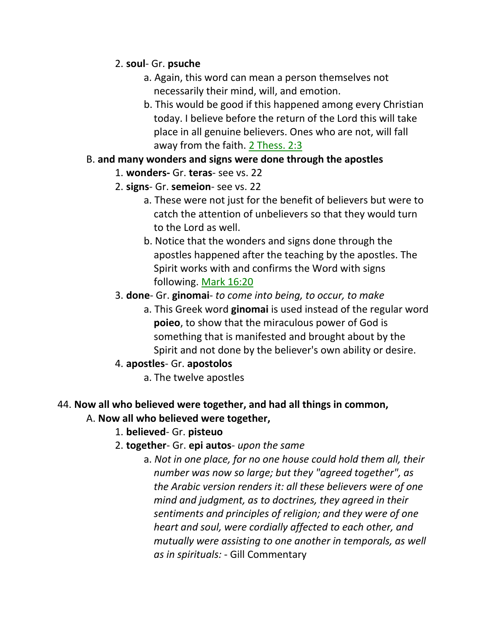#### 2. **soul**- Gr. **psuche**

- a. Again, this word can mean a person themselves not necessarily their mind, will, and emotion.
- b. This would be good if this happened among every Christian today. I believe before the return of the Lord this will take place in all genuine believers. Ones who are not, will fall away from the faith. 2 Thess. 2:3

## B. **and many wonders and signs were done through the apostles**

- 1. **wonders-** Gr. **teras** see vs. 22
- 2. **signs** Gr. **semeion** see vs. 22
	- a. These were not just for the benefit of believers but were to catch the attention of unbelievers so that they would turn to the Lord as well.
	- b. Notice that the wonders and signs done through the apostles happened after the teaching by the apostles. The Spirit works with and confirms the Word with signs following. Mark 16:20
- 3. **done** Gr. **ginomai** *to come into being, to occur, to make*
	- a. This Greek word **ginomai** is used instead of the regular word **poieo**, to show that the miraculous power of God is something that is manifested and brought about by the Spirit and not done by the believer's own ability or desire.
- 4. **apostles** Gr. **apostolos**
	- a. The twelve apostles

## 44. **Now all who believed were together, and had all things in common,**

## A. **Now all who believed were together,**

## 1. **believed**- Gr. **pisteuo**

- 2. **together** Gr. **epi autos** *upon the same*
	- a. *Not in one place, for no one house could hold them all, their number was now so large; but they "agreed together", as the Arabic version renders it: all these believers were of one mind and judgment, as to doctrines, they agreed in their sentiments and principles of religion; and they were of one heart and soul, were cordially affected to each other, and mutually were assisting to one another in temporals, as well as in spirituals:* - Gill Commentary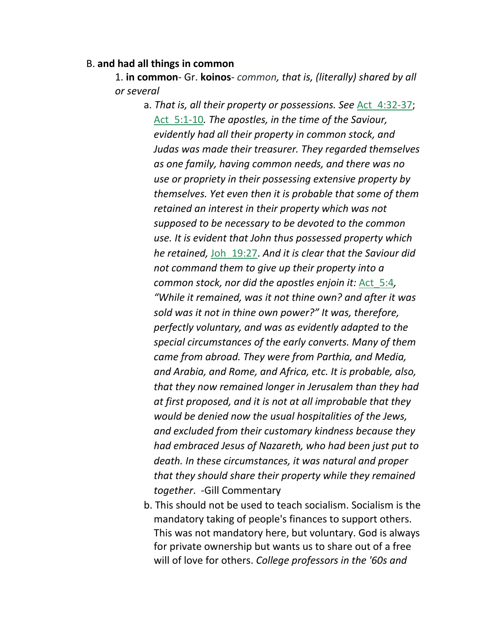#### B. **and had all things in common**

1. **in common**- Gr. **koinos**- *common, that is, (literally) shared by all or several*

- a. *That is, all their property or possessions. See* Act\_4:32-37; Act\_5:1-10*. The apostles, in the time of the Saviour, evidently had all their property in common stock, and Judas was made their treasurer. They regarded themselves as one family, having common needs, and there was no use or propriety in their possessing extensive property by themselves. Yet even then it is probable that some of them retained an interest in their property which was not supposed to be necessary to be devoted to the common use. It is evident that John thus possessed property which he retained,* Joh\_19:27. *And it is clear that the Saviour did not command them to give up their property into a common stock, nor did the apostles enjoin it:* Act\_5:4*, "While it remained, was it not thine own? and after it was sold was it not in thine own power?" It was, therefore, perfectly voluntary, and was as evidently adapted to the special circumstances of the early converts. Many of them came from abroad. They were from Parthia, and Media, and Arabia, and Rome, and Africa, etc. It is probable, also, that they now remained longer in Jerusalem than they had at first proposed, and it is not at all improbable that they would be denied now the usual hospitalities of the Jews, and excluded from their customary kindness because they had embraced Jesus of Nazareth, who had been just put to death. In these circumstances, it was natural and proper that they should share their property while they remained together*. -Gill Commentary
- b. This should not be used to teach socialism. Socialism is the mandatory taking of people's finances to support others. This was not mandatory here, but voluntary. God is always for private ownership but wants us to share out of a free will of love for others. *College professors in the '60s and*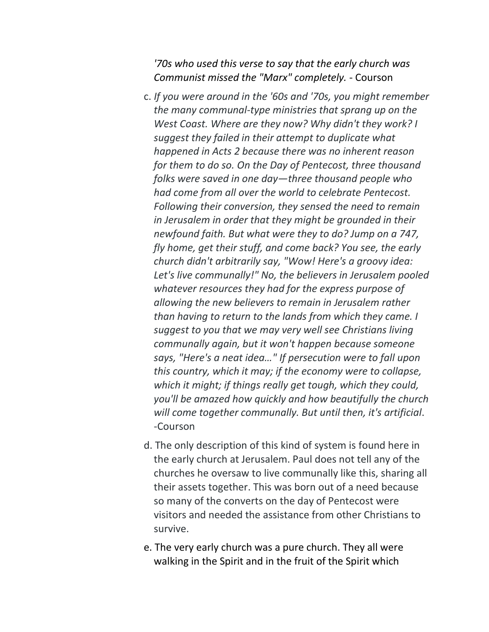*'70s who used this verse to say that the early church was Communist missed the "Marx" completely.* - Courson

- c. *If you were around in the '60s and '70s, you might remember the many communal-type ministries that sprang up on the West Coast. Where are they now? Why didn't they work? I suggest they failed in their attempt to duplicate what happened in Acts 2 because there was no inherent reason for them to do so. On the Day of Pentecost, three thousand folks were saved in one day—three thousand people who had come from all over the world to celebrate Pentecost. Following their conversion, they sensed the need to remain in Jerusalem in order that they might be grounded in their newfound faith. But what were they to do? Jump on a 747, fly home, get their stuff, and come back? You see, the early church didn't arbitrarily say, "Wow! Here's a groovy idea: Let's live communally!" No, the believers in Jerusalem pooled whatever resources they had for the express purpose of allowing the new believers to remain in Jerusalem rather than having to return to the lands from which they came. I suggest to you that we may very well see Christians living communally again, but it won't happen because someone says, "Here's a neat idea…" If persecution were to fall upon this country, which it may; if the economy were to collapse, which it might; if things really get tough, which they could, you'll be amazed how quickly and how beautifully the church will come together communally. But until then, it's artificial*. -Courson
- d. The only description of this kind of system is found here in the early church at Jerusalem. Paul does not tell any of the churches he oversaw to live communally like this, sharing all their assets together. This was born out of a need because so many of the converts on the day of Pentecost were visitors and needed the assistance from other Christians to survive.
- e. The very early church was a pure church. They all were walking in the Spirit and in the fruit of the Spirit which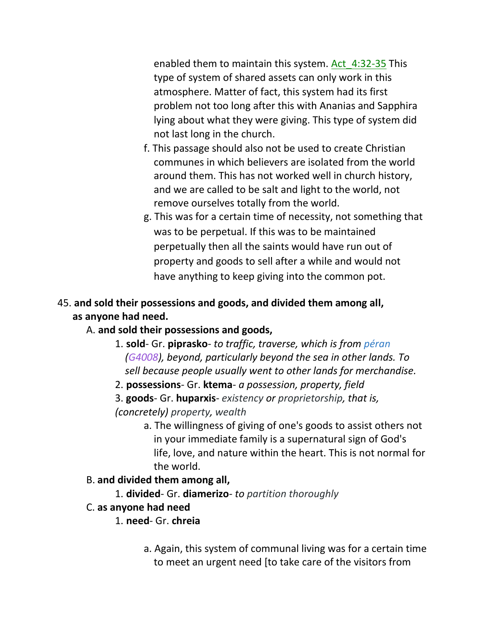enabled them to maintain this system. Act 4:32-35 This type of system of shared assets can only work in this atmosphere. Matter of fact, this system had its first problem not too long after this with Ananias and Sapphira lying about what they were giving. This type of system did not last long in the church.

- f. This passage should also not be used to create Christian communes in which believers are isolated from the world around them. This has not worked well in church history, and we are called to be salt and light to the world, not remove ourselves totally from the world.
- g. This was for a certain time of necessity, not something that was to be perpetual. If this was to be maintained perpetually then all the saints would have run out of property and goods to sell after a while and would not have anything to keep giving into the common pot.

## 45. **and sold their possessions and goods, and divided them among all, as anyone had need.**

## A. **and sold their possessions and goods,**

- 1. **sold** Gr. **piprasko** *to traffic, traverse, which is from péran (G4008), beyond, particularly beyond the sea in other lands. To sell because people usually went to other lands for merchandise.*
- 2. **possessions** Gr. **ktema** *a possession, property, field*
- 3. **goods** Gr. **huparxis** *existency or proprietorship, that is, (concretely) property, wealth*
	- a. The willingness of giving of one's goods to assist others not in your immediate family is a supernatural sign of God's life, love, and nature within the heart. This is not normal for the world.

## B. **and divided them among all,**

- 1. **divided** Gr. **diamerizo** *to partition thoroughly*
- C. **as anyone had need**
	- 1. **need** Gr. **chreia**
		- a. Again, this system of communal living was for a certain time to meet an urgent need [to take care of the visitors from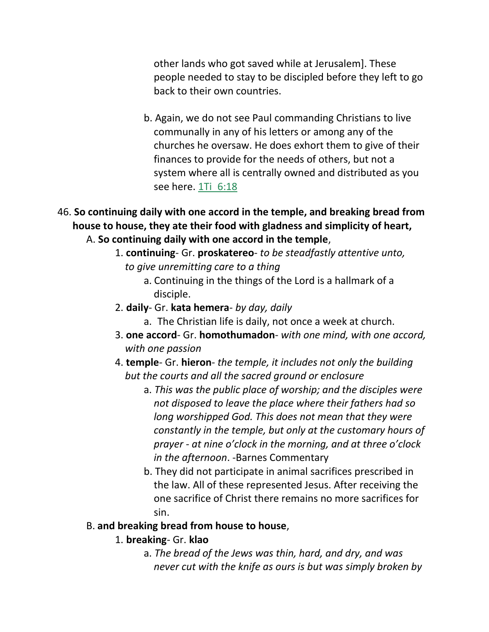other lands who got saved while at Jerusalem]. These people needed to stay to be discipled before they left to go back to their own countries.

- b. Again, we do not see Paul commanding Christians to live communally in any of his letters or among any of the churches he oversaw. He does exhort them to give of their finances to provide for the needs of others, but not a system where all is centrally owned and distributed as you see here. 1Ti\_6:18
- 46. **So continuing daily with one accord in the temple, and breaking bread from house to house, they ate their food with gladness and simplicity of heart,** A. **So continuing daily with one accord in the temple**,
	- 1. **continuing** Gr. **proskatereo** *to be steadfastly attentive unto,*  *to give unremitting care to a thing*
		- a. Continuing in the things of the Lord is a hallmark of a disciple.
	- 2. **daily** Gr. **kata hemera** *by day, daily*
		- a. The Christian life is daily, not once a week at church.
	- 3. **one accord** Gr. **homothumadon** *with one mind, with one accord,* *with one passion*
	- 4. **temple** Gr. **hieron** *the temple, it includes not only the building*  *but the courts and all the sacred ground or enclosure*
		- a. *This was the public place of worship; and the disciples were not disposed to leave the place where their fathers had so long worshipped God. This does not mean that they were constantly in the temple, but only at the customary hours of prayer - at nine o'clock in the morning, and at three o'clock in the afternoon*. -Barnes Commentary
		- b. They did not participate in animal sacrifices prescribed in the law. All of these represented Jesus. After receiving the one sacrifice of Christ there remains no more sacrifices for sin.

#### B. **and breaking bread from house to house**,

- 1. **breaking** Gr. **klao**
	- a. *The bread of the Jews was thin, hard, and dry, and was never cut with the knife as ours is but was simply broken by*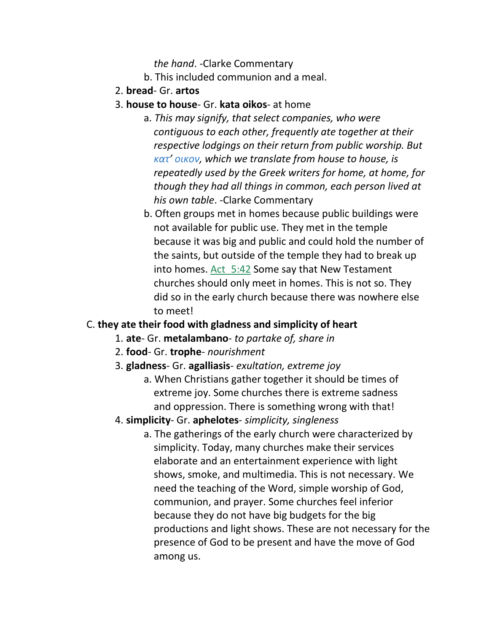*the hand*. -Clarke Commentary

- b. This included communion and a meal.
- 2. **bread** Gr. **artos**
- 3. **house to house** Gr. **kata oikos** at home
	- a. *This may signify, that select companies, who were contiguous to each other, frequently ate together at their respective lodgings on their return from public worship. But κατ' οικον, which we translate from house to house, is repeatedly used by the Greek writers for home, at home, for though they had all things in common, each person lived at his own table*. -Clarke Commentary
	- b. Often groups met in homes because public buildings were not available for public use. They met in the temple because it was big and public and could hold the number of the saints, but outside of the temple they had to break up into homes. Act 5:42 Some say that New Testament churches should only meet in homes. This is not so. They did so in the early church because there was nowhere else to meet!

#### C. **they ate their food with gladness and simplicity of heart**

- 1. **ate** Gr. **metalambano** *to partake of, share in*
- 2. **food** Gr. **trophe** *nourishment*
- 3. **gladness** Gr. **agalliasis** *exultation, extreme joy*
	- a. When Christians gather together it should be times of extreme joy. Some churches there is extreme sadness and oppression. There is something wrong with that!
- 4. **simplicity** Gr. **aphelotes** *simplicity, singleness*
	- a. The gatherings of the early church were characterized by simplicity. Today, many churches make their services elaborate and an entertainment experience with light shows, smoke, and multimedia. This is not necessary. We need the teaching of the Word, simple worship of God, communion, and prayer. Some churches feel inferior because they do not have big budgets for the big productions and light shows. These are not necessary for the presence of God to be present and have the move of God among us.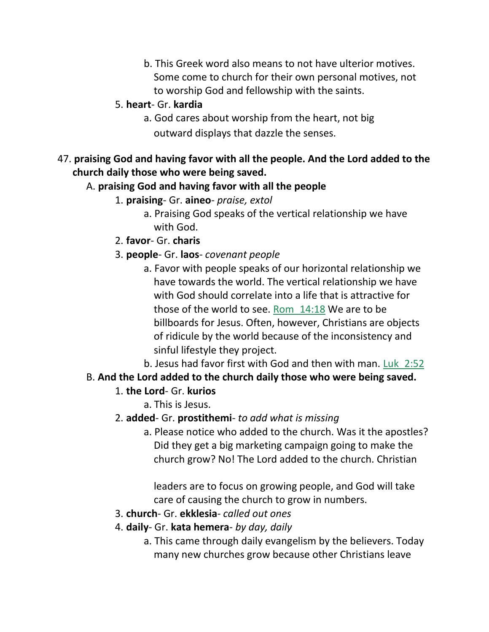- b. This Greek word also means to not have ulterior motives. Some come to church for their own personal motives, not to worship God and fellowship with the saints.
- 5. **heart** Gr. **kardia**
	- a. God cares about worship from the heart, not big outward displays that dazzle the senses.
- 47. **praising God and having favor with all the people. And the Lord added to the church daily those who were being saved.**

## A. **praising God and having favor with all the people**

- 1. **praising** Gr. **aineo** *praise, extol*
	- a. Praising God speaks of the vertical relationship we have with God.
- 2. **favor** Gr. **charis**
- 3. **people** Gr. **laos** *covenant people*
	- a. Favor with people speaks of our horizontal relationship we have towards the world. The vertical relationship we have with God should correlate into a life that is attractive for those of the world to see. Rom\_14:18 We are to be billboards for Jesus. Often, however, Christians are objects of ridicule by the world because of the inconsistency and sinful lifestyle they project.

b. Jesus had favor first with God and then with man. Luk 2:52

## B. **And the Lord added to the church daily those who were being saved.**

## 1. **the Lord**- Gr. **kurios**

a. This is Jesus.

## 2. **added**- Gr. **prostithemi**- *to add what is missing*

a. Please notice who added to the church. Was it the apostles? Did they get a big marketing campaign going to make the church grow? No! The Lord added to the church. Christian

 leaders are to focus on growing people, and God will take care of causing the church to grow in numbers.

- 3. **church** Gr. **ekklesia** *called out ones*
- 4. **daily** Gr. **kata hemera** *by day, daily*
	- a. This came through daily evangelism by the believers. Today many new churches grow because other Christians leave